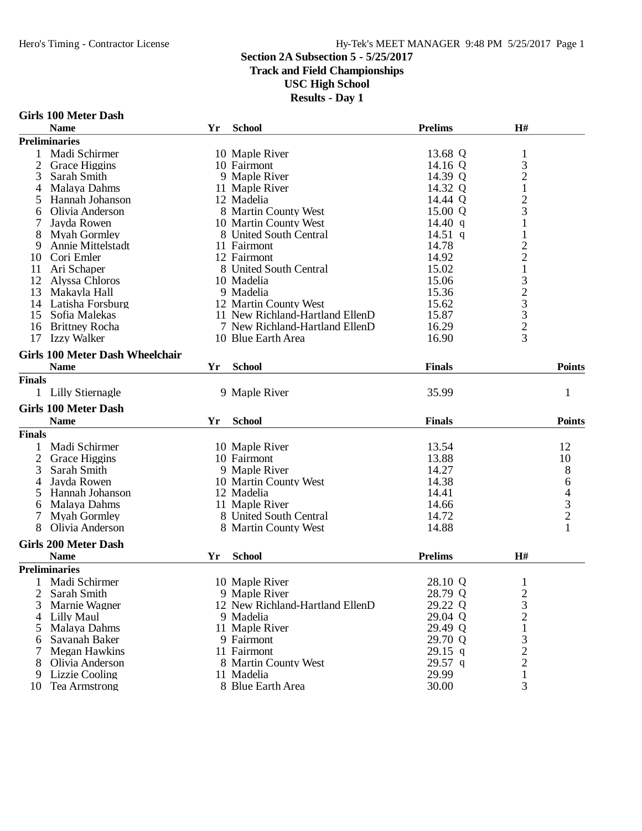#### Hero's Timing - Contractor License Hy-Tek's MEET MANAGER 9:48 PM 5/25/2017 Page 1

#### **Section 2A Subsection 5 - 5/25/2017**

#### **Track and Field Championships**

**USC High School**

|             | Girls 100 Meter Dash |  |  |  |  |
|-------------|----------------------|--|--|--|--|
| <b>Name</b> |                      |  |  |  |  |

|                | GIFIS TOO METEL DASII                  |    |                                 |                |                         |                                                 |
|----------------|----------------------------------------|----|---------------------------------|----------------|-------------------------|-------------------------------------------------|
|                | <b>Name</b>                            | Yr | <b>School</b>                   | <b>Prelims</b> | H#                      |                                                 |
|                | <b>Preliminaries</b>                   |    |                                 |                |                         |                                                 |
| 1              | Madi Schirmer                          |    | 10 Maple River                  | 13.68 Q        | $\mathbf{1}$            |                                                 |
| $\overline{2}$ | Grace Higgins                          |    | 10 Fairmont                     | 14.16 Q        | 3                       |                                                 |
| 3              | Sarah Smith                            |    | 9 Maple River                   | 14.39 Q        |                         |                                                 |
| 4              | Malaya Dahms                           |    | 11 Maple River                  | 14.32 Q        | $\frac{2}{1}$           |                                                 |
|                | Hannah Johanson                        |    | 12 Madelia                      | 14.44 Q        | $\overline{c}$          |                                                 |
| 6              | Olivia Anderson                        |    | 8 Martin County West            | 15.00 Q        | 3                       |                                                 |
|                | Jayda Rowen                            |    | 10 Martin County West           | 14.40 $q$      | $\mathbf{1}$            |                                                 |
| 8              | <b>Myah Gormley</b>                    |    | 8 United South Central          | 14.51 q        | $\mathbf{1}$            |                                                 |
| 9              | Annie Mittelstadt                      |    | 11 Fairmont                     | 14.78          | $\overline{\mathbf{c}}$ |                                                 |
| 10             | Cori Emler                             |    | 12 Fairmont                     | 14.92          | $\overline{c}$          |                                                 |
| 11             | Ari Schaper                            |    | 8 United South Central          | 15.02          | $\mathbf{1}$            |                                                 |
| 12             |                                        |    | 10 Madelia                      | 15.06          |                         |                                                 |
|                | Alyssa Chloros                         |    |                                 |                | 323323                  |                                                 |
| 13             | Makayla Hall                           |    | 9 Madelia                       | 15.36          |                         |                                                 |
| 14             | Latisha Forsburg                       |    | 12 Martin County West           | 15.62          |                         |                                                 |
| 15             | Sofia Malekas                          |    | 11 New Richland-Hartland EllenD | 15.87          |                         |                                                 |
| 16             | <b>Brittney Rocha</b>                  |    | 7 New Richland-Hartland EllenD  | 16.29          |                         |                                                 |
| 17             | <b>Izzy Walker</b>                     |    | 10 Blue Earth Area              | 16.90          |                         |                                                 |
|                | <b>Girls 100 Meter Dash Wheelchair</b> |    |                                 |                |                         |                                                 |
|                | <b>Name</b>                            | Yr | <b>School</b>                   | <b>Finals</b>  |                         | <b>Points</b>                                   |
| <b>Finals</b>  |                                        |    |                                 |                |                         |                                                 |
|                | 1 Lilly Stiernagle                     |    | 9 Maple River                   | 35.99          |                         | $\mathbf{1}$                                    |
|                |                                        |    |                                 |                |                         |                                                 |
|                | <b>Girls 100 Meter Dash</b>            |    |                                 |                |                         |                                                 |
|                | <b>Name</b>                            | Yr | <b>School</b>                   | <b>Finals</b>  |                         | <b>Points</b>                                   |
| <b>Finals</b>  |                                        |    |                                 |                |                         |                                                 |
| 1              | Madi Schirmer                          |    | 10 Maple River                  | 13.54          |                         | 12                                              |
| $\overline{2}$ | Grace Higgins                          |    | 10 Fairmont                     | 13.88          |                         | 10                                              |
| 3              | Sarah Smith                            |    | 9 Maple River                   | 14.27          |                         | 8                                               |
| 4              | Jayda Rowen                            |    | 10 Martin County West           | 14.38          |                         | 6                                               |
| 5              | Hannah Johanson                        |    | 12 Madelia                      | 14.41          |                         |                                                 |
| 6              | Malaya Dahms                           |    | 11 Maple River                  | 14.66          |                         |                                                 |
| 7              | <b>Myah Gormley</b>                    |    | 8 United South Central          | 14.72          |                         |                                                 |
| 8              | Olivia Anderson                        |    | 8 Martin County West            | 14.88          |                         | $\begin{array}{c} 4 \\ 3 \\ 2 \\ 1 \end{array}$ |
|                |                                        |    |                                 |                |                         |                                                 |
|                | <b>Girls 200 Meter Dash</b>            |    |                                 |                |                         |                                                 |
|                | <b>Name</b>                            | Yr | <b>School</b>                   | <b>Prelims</b> | H#                      |                                                 |
|                | <b>Preliminaries</b>                   |    |                                 |                |                         |                                                 |
|                | Madi Schirmer                          |    | 10 Maple River                  | 28.10 Q        | 1                       |                                                 |
| 2              | Sarah Smith                            |    | 9 Maple River                   | 28.79 Q        | $\overline{\mathbf{c}}$ |                                                 |
| 3              | Marnie Wagner                          |    | 12 New Richland-Hartland EllenD | 29.22 Q        |                         |                                                 |
| 4              | Lilly Maul                             |    | 9 Madelia                       | 29.04 Q        | $\frac{3}{2}$           |                                                 |
| 5              | Malaya Dahms                           |    | 11 Maple River                  | 29.49 Q        | 1                       |                                                 |
| 6              | Savanah Baker                          |    | 9 Fairmont                      | 29.70 Q        | 3                       |                                                 |
| 7              | Megan Hawkins                          |    | 11 Fairmont                     | 29.15 q        | $\overline{c}$          |                                                 |
| 8              | Olivia Anderson                        |    | 8 Martin County West            | $29.57$ q      | $\overline{c}$          |                                                 |
| 9              | Lizzie Cooling                         |    | 11 Madelia                      | 29.99          | $\mathbf{1}$            |                                                 |
| 10             | <b>Tea Armstrong</b>                   |    | 8 Blue Earth Area               | 30.00          | 3                       |                                                 |
|                |                                        |    |                                 |                |                         |                                                 |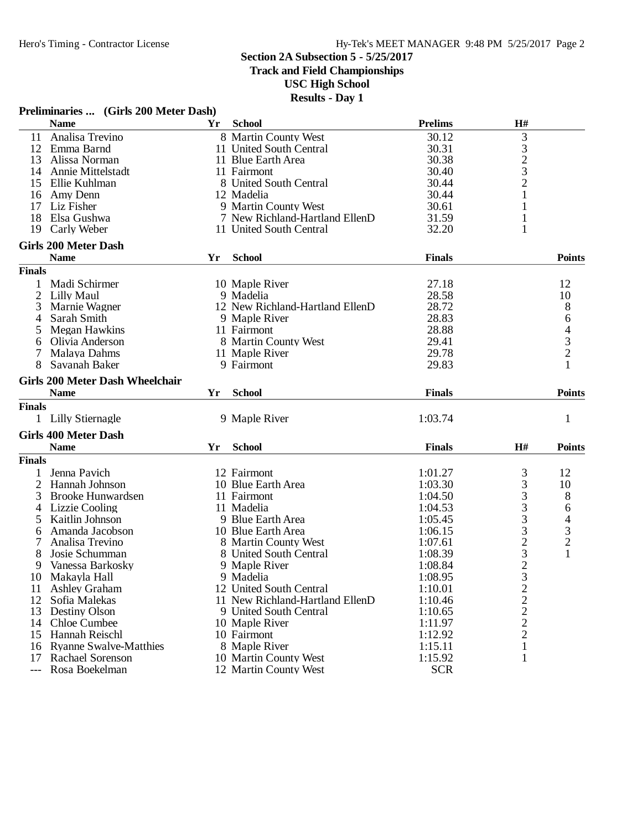**Track and Field Championships**

**USC High School**

|                | Preliminaries  (Girls 200 Meter Dash)  |    |                                 |                |                                                 |                                            |
|----------------|----------------------------------------|----|---------------------------------|----------------|-------------------------------------------------|--------------------------------------------|
|                | <b>Name</b>                            | Yr | <b>School</b>                   | <b>Prelims</b> | H#                                              |                                            |
| 11             | Analisa Trevino                        |    | 8 Martin County West            | 30.12          | 3                                               |                                            |
| 12             | Emma Barnd                             |    | 11 United South Central         | 30.31          |                                                 |                                            |
| 13             | Alissa Norman                          |    | 11 Blue Earth Area              | 30.38          | $\begin{array}{c} 3 \\ 2 \\ 3 \end{array}$      |                                            |
| 14             | Annie Mittelstadt                      |    | 11 Fairmont                     | 30.40          |                                                 |                                            |
| 15             | Ellie Kuhlman                          |    | 8 United South Central          | 30.44          |                                                 |                                            |
| 16             | Amy Denn                               |    | 12 Madelia                      | 30.44          | 1                                               |                                            |
| 17             | Liz Fisher                             |    | 9 Martin County West            | 30.61          | 1                                               |                                            |
| 18             | Elsa Gushwa                            |    | 7 New Richland-Hartland EllenD  | 31.59          | $\mathbf{1}$                                    |                                            |
| 19             | Carly Weber                            |    | 11 United South Central         | 32.20          | 1                                               |                                            |
|                | <b>Girls 200 Meter Dash</b>            |    |                                 |                |                                                 |                                            |
|                | <b>Name</b>                            | Yr | <b>School</b>                   | <b>Finals</b>  |                                                 | <b>Points</b>                              |
| <b>Finals</b>  |                                        |    |                                 |                |                                                 |                                            |
| 1              | Madi Schirmer                          |    | 10 Maple River                  | 27.18          |                                                 | 12                                         |
| 2              | Lilly Maul                             |    | 9 Madelia                       | 28.58          |                                                 | 10                                         |
| 3              | Marnie Wagner                          |    | 12 New Richland-Hartland EllenD | 28.72          |                                                 | 8                                          |
| 4              | Sarah Smith                            |    | 9 Maple River                   | 28.83          |                                                 | 6                                          |
|                |                                        |    |                                 |                |                                                 |                                            |
| 5              | Megan Hawkins                          |    | 11 Fairmont                     | 28.88          |                                                 | $\begin{array}{c} 4 \\ 3 \\ 2 \end{array}$ |
| 6              | Olivia Anderson                        |    | 8 Martin County West            | 29.41          |                                                 |                                            |
| $\tau$         | Malaya Dahms                           |    | 11 Maple River                  | 29.78          |                                                 |                                            |
| 8              | Savanah Baker                          |    | 9 Fairmont                      | 29.83          |                                                 |                                            |
|                | <b>Girls 200 Meter Dash Wheelchair</b> |    |                                 |                |                                                 |                                            |
|                | <b>Name</b>                            | Yr | <b>School</b>                   | <b>Finals</b>  |                                                 | <b>Points</b>                              |
| <b>Finals</b>  |                                        |    |                                 |                |                                                 |                                            |
|                | 1 Lilly Stiernagle                     |    | 9 Maple River                   | 1:03.74        |                                                 | $\mathbf{1}$                               |
|                | <b>Girls 400 Meter Dash</b>            |    |                                 |                |                                                 |                                            |
|                | <b>Name</b>                            | Yr | <b>School</b>                   | <b>Finals</b>  | H#                                              | <b>Points</b>                              |
| <b>Finals</b>  |                                        |    |                                 |                |                                                 |                                            |
| 1              | Jenna Pavich                           |    | 12 Fairmont                     | 1:01.27        | 3                                               | 12                                         |
| $\overline{2}$ | Hannah Johnson                         |    | 10 Blue Earth Area              | 1:03.30        |                                                 | 10                                         |
| 3              | <b>Brooke Hunwardsen</b>               |    | 11 Fairmont                     | 1:04.50        | $\begin{array}{c} 3 \\ 3 \\ 3 \\ 3 \end{array}$ | 8                                          |
| 4              | <b>Lizzie Cooling</b>                  |    | 11 Madelia                      | 1:04.53        |                                                 | 6                                          |
| 5              | Kaitlin Johnson                        |    | 9 Blue Earth Area               | 1:05.45        |                                                 |                                            |
| 6              | Amanda Jacobson                        |    | 10 Blue Earth Area              | 1:06.15        | 3                                               | $\frac{4}{3}$                              |
| 7              | Analisa Trevino                        |    | 8 Martin County West            | 1:07.61        |                                                 | $\overline{c}$                             |
| 8              | Josie Schumman                         |    | 8 United South Central          | 1:08.39        | $\frac{2}{3}$                                   | $\mathbf{1}$                               |
| 9              | Vanessa Barkosky                       |    | 9 Maple River                   | 1:08.84        |                                                 |                                            |
|                | 10 Makayla Hall                        |    | 9 Madelia                       | 1:08.95        | 3                                               |                                            |
| 11             | <b>Ashley Graham</b>                   |    | 12 United South Central         | 1:10.01        | $\overline{c}$                                  |                                            |
| 12             | Sofia Malekas                          |    | 11 New Richland-Hartland EllenD | 1:10.46        | $\overline{c}$                                  |                                            |
| 13             | Destiny Olson                          |    | 9 United South Central          |                |                                                 |                                            |
|                |                                        |    |                                 | 1:10.65        | $\frac{2}{2}$                                   |                                            |
|                | 14 Chloe Cumbee                        |    | 10 Maple River                  | 1:11.97        |                                                 |                                            |
| 15             | Hannah Reischl                         |    | 10 Fairmont                     | 1:12.92        |                                                 |                                            |
| 16             | <b>Ryanne Swalve-Matthies</b>          |    | 8 Maple River                   | 1:15.11        | 1                                               |                                            |
| 17             | Rachael Sorenson                       |    | 10 Martin County West           | 1:15.92        | 1                                               |                                            |
| $---$          | Rosa Boekelman                         |    | 12 Martin County West           | <b>SCR</b>     |                                                 |                                            |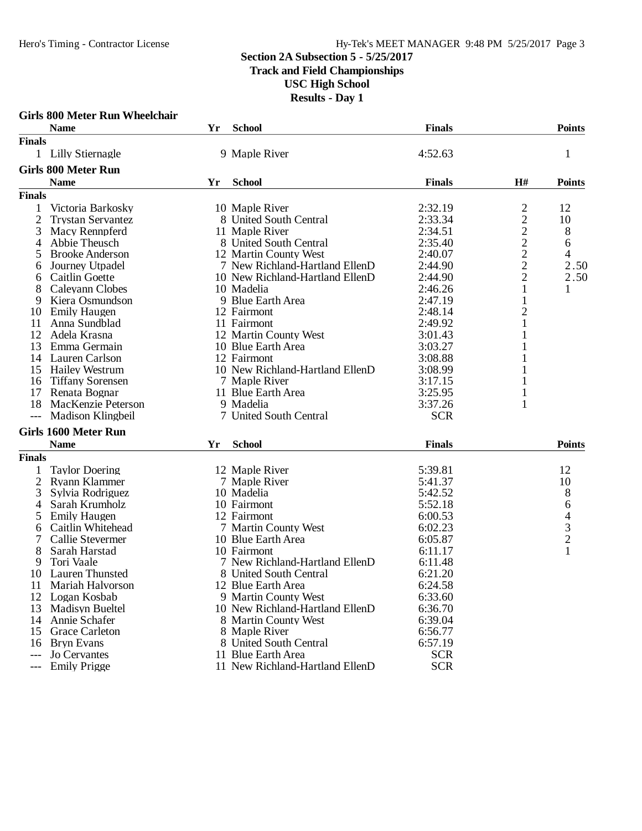#### **Section 2A Subsection 5 - 5/25/2017 Track and Field Championships USC High School Results - Day 1**

|                | <b>Girls 800 Meter Run Wheelchair</b> |    |                                 |               |                                           |                                            |
|----------------|---------------------------------------|----|---------------------------------|---------------|-------------------------------------------|--------------------------------------------|
|                | <b>Name</b>                           | Yr | <b>School</b>                   | <b>Finals</b> |                                           | <b>Points</b>                              |
| <b>Finals</b>  |                                       |    |                                 |               |                                           |                                            |
|                | 1 Lilly Stiernagle                    |    | 9 Maple River                   | 4:52.63       |                                           | 1                                          |
|                | <b>Girls 800 Meter Run</b>            |    |                                 |               |                                           |                                            |
|                | <b>Name</b>                           | Yr | <b>School</b>                   | <b>Finals</b> | H#                                        | <b>Points</b>                              |
| <b>Finals</b>  |                                       |    |                                 |               |                                           |                                            |
| 1              | Victoria Barkosky                     |    | 10 Maple River                  | 2:32.19       |                                           | 12                                         |
| 2              | <b>Trystan Servantez</b>              |    | 8 United South Central          | 2:33.34       | $\frac{2}{2}$ $\frac{2}{2}$ $\frac{2}{2}$ | 10                                         |
| 3              | Macy Rennpferd                        |    | 11 Maple River                  | 2:34.51       |                                           | 8                                          |
| 4              | Abbie Theusch                         |    | 8 United South Central          | 2:35.40       |                                           | 6                                          |
| 5              | <b>Brooke Anderson</b>                |    | 12 Martin County West           | 2:40.07       |                                           | 4                                          |
| 6              | Journey Utpadel                       |    | 7 New Richland-Hartland EllenD  | 2:44.90       |                                           | 2.50                                       |
| 6              | Caitlin Goette                        |    | 10 New Richland-Hartland EllenD | 2:44.90       | $\overline{c}$                            | 2.50                                       |
| 8              | Caleyann Clobes                       |    | 10 Madelia                      | 2:46.26       |                                           | 1                                          |
| 9              | Kiera Osmundson                       |    | 9 Blue Earth Area               | 2:47.19       | 1                                         |                                            |
| 10             | <b>Emily Haugen</b>                   |    | 12 Fairmont                     | 2:48.14       | $\overline{c}$                            |                                            |
| 11             | Anna Sundblad                         |    | 11 Fairmont                     | 2:49.92       | $\mathbf{1}$                              |                                            |
| 12             | Adela Krasna                          |    | 12 Martin County West           | 3:01.43       |                                           |                                            |
| 13             | Emma Germain                          |    | 10 Blue Earth Area              | 3:03.27       |                                           |                                            |
| 14             | Lauren Carlson                        |    | 12 Fairmont                     | 3:08.88       |                                           |                                            |
| 15             | <b>Hailey Westrum</b>                 |    | 10 New Richland-Hartland EllenD | 3:08.99       |                                           |                                            |
| 16             | <b>Tiffany Sorensen</b>               |    | 7 Maple River                   | 3:17.15       |                                           |                                            |
| 17             | Renata Bognar                         |    | 11 Blue Earth Area              | 3:25.95       | 1                                         |                                            |
| 18             | MacKenzie Peterson                    |    | 9 Madelia                       | 3:37.26       | 1                                         |                                            |
| $---$          | Madison Klingbeil                     |    | 7 United South Central          | <b>SCR</b>    |                                           |                                            |
|                | <b>Girls 1600 Meter Run</b>           |    |                                 |               |                                           |                                            |
|                | <b>Name</b>                           | Yr | <b>School</b>                   | <b>Finals</b> |                                           | <b>Points</b>                              |
| <b>Finals</b>  |                                       |    |                                 |               |                                           |                                            |
|                | <b>Taylor Doering</b>                 |    | 12 Maple River                  | 5:39.81       |                                           | 12                                         |
| $\overline{2}$ | <b>Ryann Klammer</b>                  |    | 7 Maple River                   | 5:41.37       |                                           | 10                                         |
| 3              | Sylvia Rodriguez                      |    | 10 Madelia                      | 5:42.52       |                                           | 8                                          |
| 4              | Sarah Krumholz                        |    | 10 Fairmont                     | 5:52.18       |                                           | 6                                          |
| 5              | <b>Emily Haugen</b>                   |    | 12 Fairmont                     | 6:00.53       |                                           |                                            |
| 6              | Caitlin Whitehead                     |    | 7 Martin County West            | 6:02.23       |                                           | $\begin{array}{c} 4 \\ 3 \\ 2 \end{array}$ |
|                | Callie Stevermer                      |    | 10 Blue Earth Area              | 6:05.87       |                                           |                                            |
| 8              | Sarah Harstad                         |    | 10 Fairmont                     | 6:11.17       |                                           | $\mathbf{1}$                               |
| 9              | Tori Vaale                            |    | 7 New Richland-Hartland EllenD  | 6:11.48       |                                           |                                            |
| 10             | <b>Lauren Thunsted</b>                |    | 8 United South Central          | 6:21.20       |                                           |                                            |
| 11             | Mariah Halvorson                      |    | 12 Blue Earth Area              | 6:24.58       |                                           |                                            |
|                | 12 Logan Kosbab                       |    | 9 Martin County West            | 6:33.60       |                                           |                                            |
| 13             | <b>Madisyn Bueltel</b>                |    | 10 New Richland-Hartland EllenD | 6:36.70       |                                           |                                            |
| 14             | Annie Schafer                         |    | 8 Martin County West            | 6:39.04       |                                           |                                            |
| 15             | <b>Grace Carleton</b>                 |    | 8 Maple River                   | 6:56.77       |                                           |                                            |
| 16             | <b>Bryn Evans</b>                     |    | 8 United South Central          | 6:57.19       |                                           |                                            |
| $---$          | Jo Cervantes                          |    | 11 Blue Earth Area              | <b>SCR</b>    |                                           |                                            |
| $---$          | <b>Emily Prigge</b>                   |    | 11 New Richland-Hartland EllenD | <b>SCR</b>    |                                           |                                            |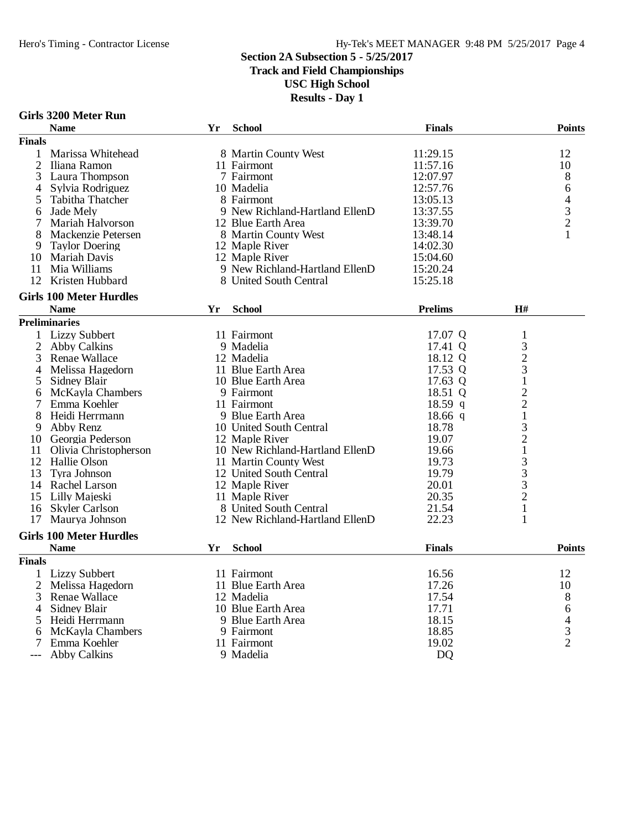**Track and Field Championships**

**USC High School**

| Girls 3200 Meter Run |  |
|----------------------|--|
| <b>Name</b>          |  |

|                | <b>Name</b>                    | Yr | <b>School</b>                   | <b>Finals</b>  |                                            | <b>Points</b> |
|----------------|--------------------------------|----|---------------------------------|----------------|--------------------------------------------|---------------|
| <b>Finals</b>  |                                |    |                                 |                |                                            |               |
| 1              | Marissa Whitehead              |    | 8 Martin County West            | 11:29.15       |                                            | 12            |
| $\overline{2}$ | Iliana Ramon                   |    | 11 Fairmont                     | 11:57.16       |                                            | 10            |
| 3              | Laura Thompson                 |    | 7 Fairmont                      | 12:07.97       |                                            | 8             |
| 4              | Sylvia Rodriguez               |    | 10 Madelia                      | 12:57.76       |                                            | 6             |
| 5              | Tabitha Thatcher               |    | 8 Fairmont                      | 13:05.13       |                                            | 4             |
| 6              | Jade Mely                      |    | 9 New Richland-Hartland EllenD  | 13:37.55       |                                            |               |
|                | Mariah Halvorson               |    | 12 Blue Earth Area              | 13:39.70       |                                            | $\frac{3}{2}$ |
| 8              | Mackenzie Petersen             |    | 8 Martin County West            | 13:48.14       |                                            | $\mathbf{1}$  |
| 9              | <b>Taylor Doering</b>          |    | 12 Maple River                  | 14:02.30       |                                            |               |
| 10             | Mariah Davis                   |    | 12 Maple River                  | 15:04.60       |                                            |               |
| 11             | Mia Williams                   |    | 9 New Richland-Hartland EllenD  | 15:20.24       |                                            |               |
| 12             | Kristen Hubbard                |    | 8 United South Central          | 15:25.18       |                                            |               |
|                | <b>Girls 100 Meter Hurdles</b> |    |                                 |                |                                            |               |
|                | <b>Name</b>                    | Yr | <b>School</b>                   | <b>Prelims</b> | H#                                         |               |
|                | <b>Preliminaries</b>           |    |                                 |                |                                            |               |
| 1              | <b>Lizzy Subbert</b>           |    | 11 Fairmont                     | 17.07 Q        | $\mathbf{1}$                               |               |
| 2              | <b>Abby Calkins</b>            |    | 9 Madelia                       | 17.41 Q        | $\mathfrak{Z}$                             |               |
| 3              | <b>Renae Wallace</b>           |    | 12 Madelia                      | 18.12 Q        | $\frac{2}{3}$                              |               |
| 4              | Melissa Hagedorn               |    | 11 Blue Earth Area              | 17.53 Q        |                                            |               |
| 5              | Sidney Blair                   |    | 10 Blue Earth Area              | 17.63 Q        | $\mathbf{1}$                               |               |
| 6              | McKayla Chambers               |    | 9 Fairmont                      | 18.51 Q        |                                            |               |
| 7              | Emma Koehler                   |    | 11 Fairmont                     | $18.59$ q      | $\frac{2}{2}$                              |               |
| 8              | Heidi Herrmann                 |    | 9 Blue Earth Area               | $18.66$ q      | $\mathbf{1}$                               |               |
| 9              | Abby Renz                      |    | 10 United South Central         | 18.78          |                                            |               |
| 10             | Georgia Pederson               |    | 12 Maple River                  | 19.07          | $\frac{3}{2}$                              |               |
| 11             | Olivia Christopherson          |    | 10 New Richland-Hartland EllenD | 19.66          | $\mathbf{1}$                               |               |
| 12             | Hallie Olson                   |    | 11 Martin County West           | 19.73          | $\begin{array}{c} 3 \\ 3 \\ 3 \end{array}$ |               |
| 13             | Tyra Johnson                   |    | 12 United South Central         | 19.79          |                                            |               |
|                | 14 Rachel Larson               |    | 12 Maple River                  | 20.01          |                                            |               |
| 15             | Lilly Majeski                  |    | 11 Maple River                  | 20.35          | $\overline{2}$                             |               |
| 16             | <b>Skyler Carlson</b>          |    | 8 United South Central          | 21.54          | $\mathbf{1}$                               |               |
| 17             | Maurya Johnson                 |    | 12 New Richland-Hartland EllenD | 22.23          | $\mathbf{1}$                               |               |
|                | <b>Girls 100 Meter Hurdles</b> |    |                                 |                |                                            |               |
|                | <b>Name</b>                    | Yr | <b>School</b>                   | <b>Finals</b>  |                                            | <b>Points</b> |
| <b>Finals</b>  |                                |    |                                 |                |                                            |               |
|                | 1 Lizzy Subbert                |    | 11 Fairmont                     | 16.56          |                                            | 12            |
| 2              | Melissa Hagedorn               |    | 11 Blue Earth Area              | 17.26          |                                            | 10            |
| 3              | <b>Renae Wallace</b>           |    | 12 Madelia                      | 17.54          |                                            | 8             |
| 4              | Sidney Blair                   |    | 10 Blue Earth Area              | 17.71          |                                            | 6             |
| 5              | Heidi Herrmann                 |    | 9 Blue Earth Area               | 18.15          |                                            | 4             |
| 6              | McKayla Chambers               |    | 9 Fairmont                      | 18.85          |                                            | $\frac{3}{2}$ |
|                | Emma Koehler                   |    | 11 Fairmont                     | 19.02          |                                            |               |
|                | <b>Abby Calkins</b>            |    | 9 Madelia                       | <b>DQ</b>      |                                            |               |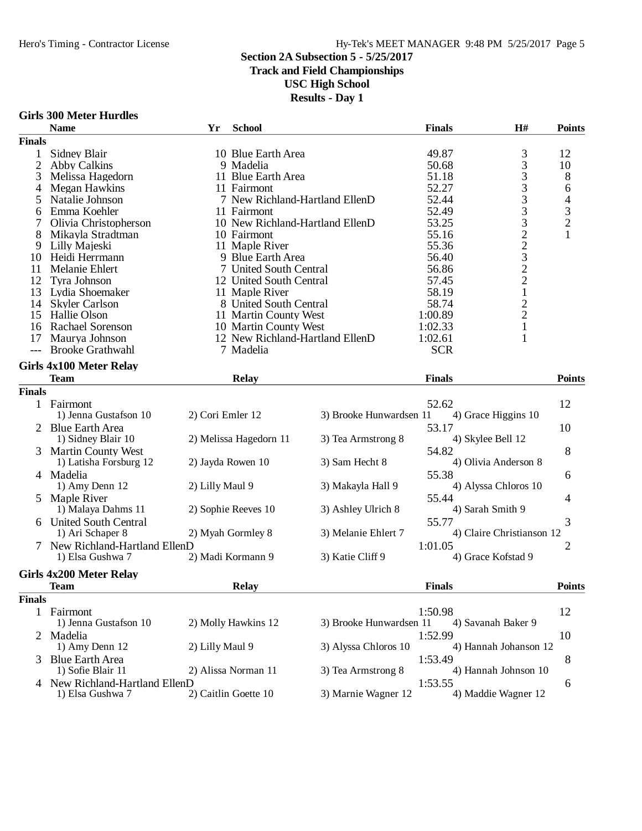#### Hero's Timing - Contractor License Hy-Tek's MEET MANAGER 9:48 PM 5/25/2017 Page 5

#### **Section 2A Subsection 5 - 5/25/2017**

#### **Track and Field Championships**

**USC High School**

| <b>Girls 300 Meter Hurdles</b> |  |
|--------------------------------|--|
| <b>Name</b>                    |  |

|                | GILIS JUU IVIEIEI TIUFUIES     |                  |                                 |                         |               |                           |                                            |
|----------------|--------------------------------|------------------|---------------------------------|-------------------------|---------------|---------------------------|--------------------------------------------|
|                | <b>Name</b>                    | Yr               | <b>School</b>                   |                         | <b>Finals</b> | H#                        | <b>Points</b>                              |
| <b>Finals</b>  |                                |                  |                                 |                         |               |                           |                                            |
| 1              | Sidney Blair                   |                  | 10 Blue Earth Area              |                         | 49.87         |                           | 12                                         |
| $\overline{2}$ | <b>Abby Calkins</b>            |                  | 9 Madelia                       |                         | 50.68         | 333333223221221           | 10                                         |
| 3              | Melissa Hagedorn               |                  | 11 Blue Earth Area              |                         | 51.18         |                           | 8                                          |
| 4              | <b>Megan Hawkins</b>           |                  | 11 Fairmont                     |                         | 52.27         |                           | 6                                          |
| 5              | Natalie Johnson                |                  | 7 New Richland-Hartland EllenD  |                         | 52.44         |                           | 4                                          |
| 6              | Emma Koehler                   |                  | 11 Fairmont                     |                         | 52.49         |                           |                                            |
| 7              | Olivia Christopherson          |                  | 10 New Richland-Hartland EllenD |                         | 53.25         |                           |                                            |
| 8              | Mikayla Stradtman              |                  | 10 Fairmont                     |                         | 55.16         |                           | $\begin{array}{c} 3 \\ 2 \\ 1 \end{array}$ |
| 9              | Lilly Majeski                  |                  | 11 Maple River                  |                         | 55.36         |                           |                                            |
| 10             | Heidi Herrmann                 |                  | 9 Blue Earth Area               |                         | 56.40         |                           |                                            |
| 11             | Melanie Ehlert                 |                  | 7 United South Central          |                         | 56.86         |                           |                                            |
| 12             | Tyra Johnson                   |                  | 12 United South Central         |                         | 57.45         |                           |                                            |
|                |                                |                  |                                 |                         |               |                           |                                            |
| 13             | Lydia Shoemaker                |                  | 11 Maple River                  |                         | 58.19         |                           |                                            |
| 14             | <b>Skyler Carlson</b>          |                  | 8 United South Central          |                         | 58.74         |                           |                                            |
| 15             | Hallie Olson                   |                  | 11 Martin County West           |                         | 1:00.89       |                           |                                            |
| 16             | Rachael Sorenson               |                  | 10 Martin County West           |                         | 1:02.33       |                           |                                            |
| 17             | Maurya Johnson                 |                  | 12 New Richland-Hartland EllenD |                         | 1:02.61       | 1                         |                                            |
|                | <b>Brooke Grathwahl</b>        |                  | 7 Madelia                       |                         | <b>SCR</b>    |                           |                                            |
|                | <b>Girls 4x100 Meter Relay</b> |                  |                                 |                         |               |                           |                                            |
|                | <b>Team</b>                    |                  | <b>Relay</b>                    |                         | <b>Finals</b> |                           | <b>Points</b>                              |
| <b>Finals</b>  |                                |                  |                                 |                         |               |                           |                                            |
|                | 1 Fairmont                     |                  |                                 |                         | 52.62         |                           | 12                                         |
|                | 1) Jenna Gustafson 10          | 2) Cori Emler 12 |                                 | 3) Brooke Hunwardsen 11 |               | 4) Grace Higgins 10       |                                            |
|                | 2 Blue Earth Area              |                  |                                 |                         | 53.17         |                           | 10                                         |
|                | 1) Sidney Blair 10             |                  | 2) Melissa Hagedorn 11          | 3) Tea Armstrong 8      |               | 4) Skylee Bell 12         |                                            |
|                |                                |                  |                                 |                         |               |                           |                                            |
|                | <b>Martin County West</b>      |                  |                                 |                         | 54.82         |                           | 8                                          |
|                | 1) Latisha Forsburg 12         |                  | 2) Jayda Rowen 10               | 3) Sam Hecht 8          |               | 4) Olivia Anderson 8      |                                            |
|                | 4 Madelia                      |                  |                                 |                         | 55.38         |                           | 6                                          |
|                | 1) Amy Denn 12                 | 2) Lilly Maul 9  |                                 | 3) Makayla Hall 9       |               | 4) Alyssa Chloros 10      |                                            |
| 5              | Maple River                    |                  |                                 |                         | 55.44         |                           | 4                                          |
|                | 1) Malaya Dahms 11             |                  | 2) Sophie Reeves 10             | 3) Ashley Ulrich 8      |               | 4) Sarah Smith 9          |                                            |
|                | <b>United South Central</b>    |                  |                                 |                         | 55.77         |                           | 3                                          |
|                | 1) Ari Schaper 8               |                  | 2) Myah Gormley 8               | 3) Melanie Ehlert 7     |               | 4) Claire Christianson 12 |                                            |
|                | New Richland-Hartland EllenD   |                  |                                 |                         | 1:01.05       |                           | 2                                          |
|                | 1) Elsa Gushwa 7               |                  | 2) Madi Kormann 9               | 3) Katie Cliff 9        |               | 4) Grace Kofstad 9        |                                            |
|                | <b>Girls 4x200 Meter Relay</b> |                  |                                 |                         |               |                           |                                            |
|                |                                |                  |                                 |                         |               |                           | <b>Points</b>                              |
|                | <b>Team</b>                    |                  | <b>Relay</b>                    |                         | <b>Finals</b> |                           |                                            |
| <b>Finals</b>  |                                |                  |                                 |                         |               |                           |                                            |
|                | 1 Fairmont                     |                  |                                 |                         | 1:50.98       |                           | 12                                         |
|                | 1) Jenna Gustafson 10          |                  | 2) Molly Hawkins 12             | 3) Brooke Hunwardsen 11 |               | 4) Savanah Baker 9        |                                            |
| 2              | Madelia                        |                  |                                 |                         | 1:52.99       |                           | 10                                         |
|                | 1) Amy Denn 12                 | 2) Lilly Maul 9  |                                 | 3) Alyssa Chloros 10    |               | 4) Hannah Johanson 12     |                                            |
|                | <b>Blue Earth Area</b>         |                  |                                 |                         | 1:53.49       |                           | 8                                          |
|                | 1) Sofie Blair 11              |                  | 2) Alissa Norman 11             | 3) Tea Armstrong 8      |               | 4) Hannah Johnson 10      |                                            |
| 4              | New Richland-Hartland EllenD   |                  |                                 |                         | 1:53.55       |                           | 6                                          |
|                | 1) Elsa Gushwa 7               |                  | 2) Caitlin Goette 10            | 3) Marnie Wagner 12     |               | 4) Maddie Wagner 12       |                                            |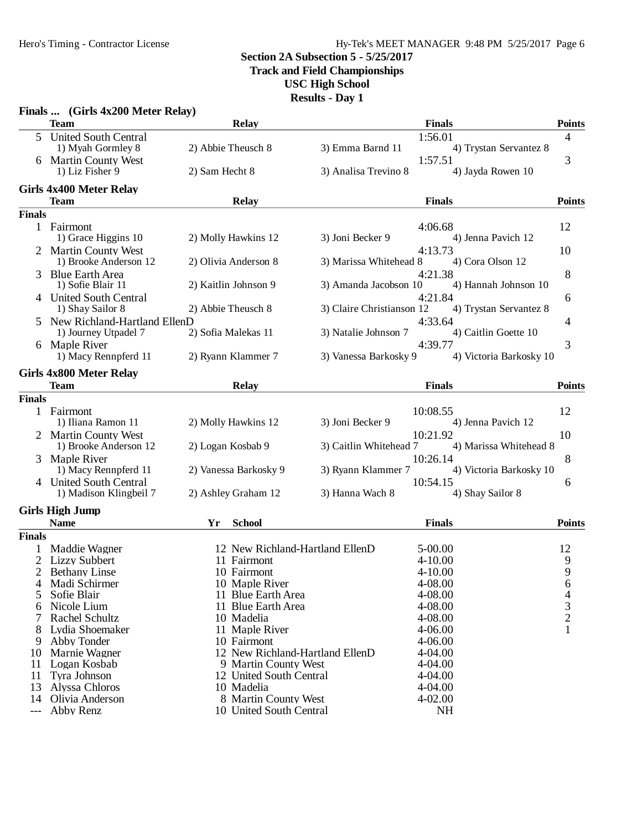#### Hy-Tek's MEET MANAGER 9:48 PM 5/25/2017 Page 6

### **Section 2A Subsection 5 - 5/25/2017**

**Track and Field Championships**

**USC High School**

|               | Finals  (Girls 4x200 Meter Relay) |                                 |                           |                         |               |
|---------------|-----------------------------------|---------------------------------|---------------------------|-------------------------|---------------|
|               | <b>Team</b>                       | <b>Relay</b>                    |                           | <b>Finals</b>           | <b>Points</b> |
|               | 5 United South Central            |                                 |                           | 1:56.01                 | 4             |
|               | 1) Myah Gormley 8                 | 2) Abbie Theusch 8              | 3) Emma Barnd 11          | 4) Trystan Servantez 8  |               |
|               | 6 Martin County West              |                                 |                           | 1:57.51                 | 3             |
|               | 1) Liz Fisher 9                   | 2) Sam Hecht 8                  | 3) Analisa Trevino 8      | 4) Jayda Rowen 10       |               |
|               | <b>Girls 4x400 Meter Relay</b>    |                                 |                           |                         |               |
|               | <b>Team</b>                       | <b>Relay</b>                    |                           | <b>Finals</b>           | <b>Points</b> |
| <b>Finals</b> |                                   |                                 |                           |                         |               |
|               | 1 Fairmont                        |                                 |                           | 4:06.68                 | 12            |
|               | 1) Grace Higgins 10               | 2) Molly Hawkins 12             | 3) Joni Becker 9          | 4) Jenna Pavich 12      |               |
|               | 2 Martin County West              |                                 |                           | 4:13.73                 | 10            |
|               | 1) Brooke Anderson 12             | 2) Olivia Anderson 8            | 3) Marissa Whitehead 8    | 4) Cora Olson 12        |               |
|               | 3 Blue Earth Area                 |                                 |                           | 4:21.38                 | 8             |
|               | 1) Sofie Blair 11                 | 2) Kaitlin Johnson 9            | 3) Amanda Jacobson 10     | 4) Hannah Johnson 10    |               |
|               | 4 United South Central            |                                 |                           | 4:21.84                 | 6             |
|               | 1) Shay Sailor 8                  | 2) Abbie Theusch 8              | 3) Claire Christianson 12 | 4) Trystan Servantez 8  |               |
|               | 5 New Richland-Hartland EllenD    |                                 |                           | 4:33.64                 | 4             |
|               | 1) Journey Utpadel 7              | 2) Sofia Malekas 11             | 3) Natalie Johnson 7      | 4) Caitlin Goette 10    |               |
|               | 6 Maple River                     |                                 |                           | 4:39.77                 | 3             |
|               | 1) Macy Rennpferd 11              | 2) Ryann Klammer 7              | 3) Vanessa Barkosky 9     | 4) Victoria Barkosky 10 |               |
|               | <b>Girls 4x800 Meter Relay</b>    |                                 |                           |                         |               |
|               | <b>Team</b>                       | <b>Relay</b>                    |                           | <b>Finals</b>           | <b>Points</b> |
| <b>Finals</b> |                                   |                                 |                           |                         |               |
|               | 1 Fairmont                        |                                 |                           | 10:08.55                | 12            |
|               | 1) Iliana Ramon 11                | 2) Molly Hawkins 12             | 3) Joni Becker 9          | 4) Jenna Pavich 12      |               |
|               | 2 Martin County West              |                                 |                           | 10:21.92                | 10            |
|               | 1) Brooke Anderson 12             | 2) Logan Kosbab 9               | 3) Caitlin Whitehead 7    | 4) Marissa Whitehead 8  |               |
|               | 3 Maple River                     |                                 |                           | 10:26.14                | 8             |
|               | 1) Macy Rennpferd 11              | 2) Vanessa Barkosky 9           | 3) Ryann Klammer 7        | 4) Victoria Barkosky 10 |               |
|               | 4 United South Central            |                                 |                           | 10:54.15                | 6             |
|               | 1) Madison Klingbeil 7            | 2) Ashley Graham 12             | 3) Hanna Wach 8           | 4) Shay Sailor 8        |               |
|               | <b>Girls High Jump</b>            |                                 |                           |                         |               |
|               | <b>Name</b>                       | Yr<br><b>School</b>             |                           | <b>Finals</b>           | <b>Points</b> |
| <b>Finals</b> |                                   |                                 |                           |                         |               |
| 1             | Maddie Wagner                     | 12 New Richland-Hartland EllenD |                           | $5 - 00.00$             | 12            |
|               | 2 Lizzy Subbert                   | 11 Fairmont                     |                           | $4 - 10.00$             | 9             |
| $2^{\circ}$   | <b>Bethany Linse</b>              | 10 Fairmont                     |                           | 4-10.00                 | 9             |
|               | Madi Schirmer                     | 10 Maple River                  |                           | 4-08.00                 | 6             |
| 5             | Sofie Blair                       | 11 Blue Earth Area              |                           | 4-08.00                 | 4             |
| 6             | Nicole Lium                       | 11 Blue Earth Area              |                           | 4-08.00                 | $\frac{3}{2}$ |
|               | Rachel Schultz                    | 10 Madelia                      |                           | 4-08.00                 |               |
| 8             | Lydia Shoemaker<br>Abby Tonder    | 11 Maple River<br>10 Fairmont   |                           | 4-06.00<br>4-06.00      |               |
| 9<br>10       | Marnie Wagner                     | 12 New Richland-Hartland EllenD |                           | 4-04.00                 |               |
|               | 11 Logan Kosbab                   | 9 Martin County West            |                           | 4-04.00                 |               |
| 11            | Tyra Johnson                      | 12 United South Central         |                           | 4-04.00                 |               |
| 13            | Alyssa Chloros                    | 10 Madelia                      |                           | 4-04.00                 |               |
| 14            | Olivia Anderson                   | 8 Martin County West            |                           | 4-02.00                 |               |
| $---$         | Abby Renz                         | 10 United South Central         |                           | <b>NH</b>               |               |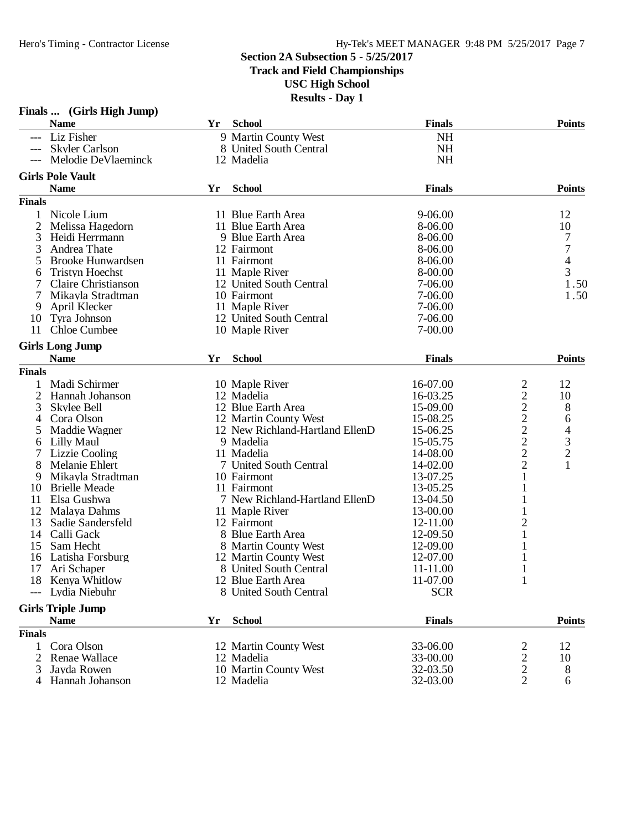## **Section 2A Subsection 5 - 5/25/2017 Track and Field Championships**

**USC High School Results - Day 1**

|               | Finals  (Girls High Jump)              |    | IWJULIO - DUV 1                 |               |                         |                                            |
|---------------|----------------------------------------|----|---------------------------------|---------------|-------------------------|--------------------------------------------|
|               | <b>Name</b>                            | Yr | <b>School</b>                   | <b>Finals</b> |                         | <b>Points</b>                              |
|               | --- Liz Fisher                         |    | 9 Martin County West            | <b>NH</b>     |                         |                                            |
| $---$         | <b>Skyler Carlson</b>                  |    | 8 United South Central          | <b>NH</b>     |                         |                                            |
|               | Melodie DeVlaeminck                    |    | 12 Madelia                      | <b>NH</b>     |                         |                                            |
|               |                                        |    |                                 |               |                         |                                            |
|               | <b>Girls Pole Vault</b><br><b>Name</b> | Yr | <b>School</b>                   | <b>Finals</b> |                         | <b>Points</b>                              |
|               |                                        |    |                                 |               |                         |                                            |
| <b>Finals</b> |                                        |    |                                 |               |                         |                                            |
| 1             | Nicole Lium                            |    | 11 Blue Earth Area              | $9 - 06.00$   |                         | 12                                         |
| 2             | Melissa Hagedorn                       |    | 11 Blue Earth Area              | 8-06.00       |                         | 10                                         |
| 3             | Heidi Herrmann                         |    | 9 Blue Earth Area               | 8-06.00       |                         | 7                                          |
| 3             | Andrea Thate                           |    | 12 Fairmont                     | 8-06.00       |                         | 7                                          |
| 5             | <b>Brooke Hunwardsen</b>               |    | 11 Fairmont                     | 8-06.00       |                         | $\frac{4}{3}$                              |
| 6             | <b>Tristyn Hoechst</b>                 |    | 11 Maple River                  | 8-00.00       |                         |                                            |
|               | Claire Christianson                    |    | 12 United South Central         | 7-06.00       |                         | 1.50                                       |
| 7             | Mikayla Stradtman                      |    | 10 Fairmont                     | 7-06.00       |                         | 1.50                                       |
| 9             | April Klecker                          |    | 11 Maple River                  | 7-06.00       |                         |                                            |
| 10            | Tyra Johnson                           |    | 12 United South Central         | 7-06.00       |                         |                                            |
| 11            | <b>Chloe Cumbee</b>                    |    | 10 Maple River                  | 7-00.00       |                         |                                            |
|               | <b>Girls Long Jump</b>                 |    |                                 |               |                         |                                            |
|               | <b>Name</b>                            | Yr | <b>School</b>                   | <b>Finals</b> |                         | <b>Points</b>                              |
| <b>Finals</b> |                                        |    |                                 |               |                         |                                            |
| 1             | Madi Schirmer                          |    | 10 Maple River                  | 16-07.00      | $\overline{\mathbf{c}}$ | 12                                         |
| 2             | Hannah Johanson                        |    | 12 Madelia                      | 16-03.25      | $\overline{c}$          | 10                                         |
| 3             | Skylee Bell                            |    | 12 Blue Earth Area              | 15-09.00      | $\overline{c}$          | 8                                          |
| 4             | Cora Olson                             |    | 12 Martin County West           | 15-08.25      |                         | 6                                          |
| 5             | Maddie Wagner                          |    | 12 New Richland-Hartland EllenD | 15-06.25      |                         |                                            |
| 6             | Lilly Maul                             |    | 9 Madelia                       | 15-05.75      | $\frac{2}{2}$           | $\begin{array}{c} 4 \\ 3 \\ 2 \end{array}$ |
| 7             | <b>Lizzie Cooling</b>                  |    | 11 Madelia                      | 14-08.00      | $\overline{c}$          |                                            |
| 8             | Melanie Ehlert                         |    | 7 United South Central          | 14-02.00      | $\overline{c}$          | $\mathbf{1}$                               |
| 9             | Mikayla Stradtman                      |    | 10 Fairmont                     | 13-07.25      | $\mathbf{1}$            |                                            |
| 10            | <b>Brielle Meade</b>                   |    | 11 Fairmont                     | 13-05.25      | 1                       |                                            |
| 11            | Elsa Gushwa                            |    | 7 New Richland-Hartland EllenD  | 13-04.50      |                         |                                            |
| 12            | Malaya Dahms                           |    | 11 Maple River                  | 13-00.00      | 1                       |                                            |
| 13            | Sadie Sandersfeld                      |    | 12 Fairmont                     | 12-11.00      | $\overline{c}$          |                                            |
|               | 14 Calli Gack                          |    | 8 Blue Earth Area               | 12-09.50      | $\mathbf{1}$            |                                            |
| 15            | Sam Hecht                              |    | 8 Martin County West            | 12-09.00      | 1                       |                                            |
|               | 16 Latisha Forsburg                    |    | 12 Martin County West           | 12-07.00      |                         |                                            |
|               | 17 Ari Schaper                         |    | 8 United South Central          | 11-11.00      |                         |                                            |
|               | 18 Kenya Whitlow                       |    | 12 Blue Earth Area              | 11-07.00      | 1                       |                                            |
|               | --- Lydia Niebuhr                      |    | 8 United South Central          | <b>SCR</b>    |                         |                                            |
|               | <b>Girls Triple Jump</b>               |    |                                 |               |                         |                                            |
|               | <b>Name</b>                            | Yr | <b>School</b>                   | <b>Finals</b> |                         | <b>Points</b>                              |
| <b>Finals</b> |                                        |    |                                 |               |                         |                                            |
| $\mathbf{1}$  | Cora Olson                             |    | 12 Martin County West           | 33-06.00      | $\overline{c}$          | 12                                         |
| 2             | <b>Renae Wallace</b>                   |    | 12 Madelia                      | 33-00.00      | $\overline{\mathbf{c}}$ | 10                                         |
| 3             | Jayda Rowen                            |    | 10 Martin County West           | 32-03.50      | $\overline{c}$          | 8                                          |
|               | 4 Hannah Johanson                      |    | 12 Madelia                      | 32-03.00      | $\overline{2}$          | 6                                          |
|               |                                        |    |                                 |               |                         |                                            |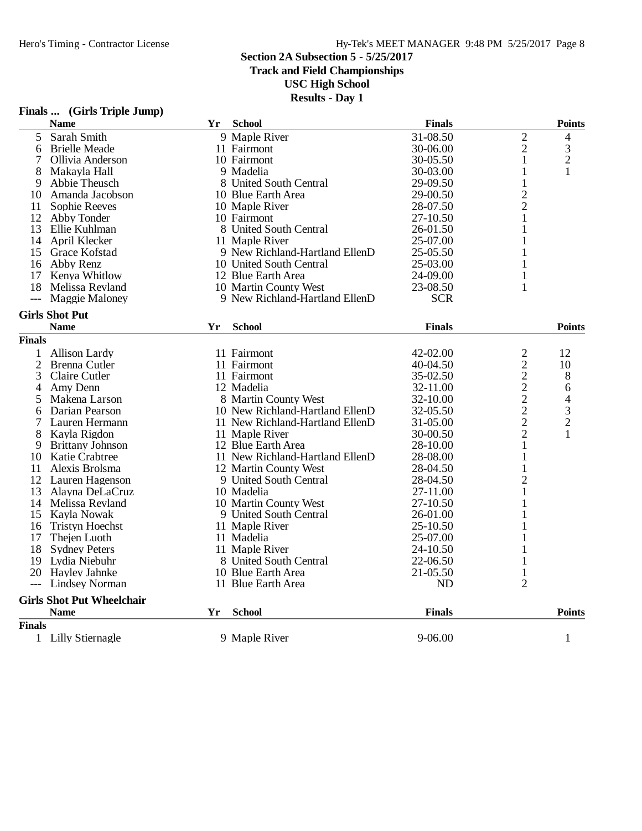**Track and Field Championships**

**USC High School**

|                | Finals  (Girls Triple Jump)      |    |                                 |               |                                            |                          |
|----------------|----------------------------------|----|---------------------------------|---------------|--------------------------------------------|--------------------------|
|                | <b>Name</b>                      | Yr | <b>School</b>                   | <b>Finals</b> |                                            | <b>Points</b>            |
| 5              | Sarah Smith                      |    | 9 Maple River                   | 31-08.50      | $\overline{c}$                             | 4                        |
| 6              | <b>Brielle Meade</b>             |    | 11 Fairmont                     | 30-06.00      | $\overline{2}$                             | 3                        |
| 7              | Ollivia Anderson                 |    | 10 Fairmont                     | 30-05.50      | 1                                          | $\overline{c}$           |
| 8              | Makayla Hall                     |    | 9 Madelia                       | 30-03.00      | 1                                          | 1                        |
| 9              | Abbie Theusch                    |    | 8 United South Central          | 29-09.50      | $\mathbf{1}$                               |                          |
| 10             | Amanda Jacobson                  |    | 10 Blue Earth Area              | 29-00.50      |                                            |                          |
| 11             | Sophie Reeves                    |    | 10 Maple River                  | 28-07.50      | $\frac{2}{2}$                              |                          |
|                | 12 Abby Tonder                   |    | 10 Fairmont                     | 27-10.50      | 1                                          |                          |
|                | 13 Ellie Kuhlman                 |    | 8 United South Central          | 26-01.50      | 1                                          |                          |
|                | 14 April Klecker                 |    | 11 Maple River                  | 25-07.00      | 1                                          |                          |
|                | 15 Grace Kofstad                 |    | 9 New Richland-Hartland EllenD  | 25-05.50      |                                            |                          |
| 16             | Abby Renz                        |    | 10 United South Central         | 25-03.00      | 1                                          |                          |
| 17             | Kenya Whitlow                    |    | 12 Blue Earth Area              | 24-09.00      | 1                                          |                          |
| 18             | Melissa Revland                  |    | 10 Martin County West           | 23-08.50      | 1                                          |                          |
| $---$          | <b>Maggie Maloney</b>            |    | 9 New Richland-Hartland EllenD  | <b>SCR</b>    |                                            |                          |
|                | <b>Girls Shot Put</b>            |    |                                 |               |                                            |                          |
|                | <b>Name</b>                      | Yr | <b>School</b>                   | <b>Finals</b> |                                            | <b>Points</b>            |
| <b>Finals</b>  |                                  |    |                                 |               |                                            |                          |
| $\mathbf{1}$   | <b>Allison Lardy</b>             |    | 11 Fairmont                     | 42-02.00      | $\overline{c}$                             | 12                       |
| $\overline{2}$ | Brenna Cutler                    |    | 11 Fairmont                     | 40-04.50      | $\overline{c}$                             | 10                       |
| 3              | <b>Claire Cutler</b>             |    | 11 Fairmont                     | 35-02.50      |                                            | 8                        |
| 4              | Amy Denn                         |    | 12 Madelia                      | 32-11.00      | $\begin{array}{c} 2 \\ 2 \\ 2 \end{array}$ | 6                        |
| 5              | Makena Larson                    |    | 8 Martin County West            | 32-10.00      |                                            | $\overline{\mathcal{L}}$ |
| 6              | Darian Pearson                   |    | 10 New Richland-Hartland EllenD | 32-05.50      |                                            | $\frac{3}{2}$            |
| 7              | Lauren Hermann                   |    | 11 New Richland-Hartland EllenD | 31-05.00      | $\overline{c}$                             |                          |
| 8              | Kayla Rigdon                     |    | 11 Maple River                  | 30-00.50      | $\overline{c}$                             | 1                        |
| 9              | <b>Brittany Johnson</b>          |    | 12 Blue Earth Area              | 28-10.00      | $\mathbf{1}$                               |                          |
| 10             | <b>Katie Crabtree</b>            |    | 11 New Richland-Hartland EllenD | 28-08.00      | 1                                          |                          |
| 11             | Alexis Brolsma                   |    | 12 Martin County West           | 28-04.50      | 1                                          |                          |
|                | 12 Lauren Hagenson               |    | 9 United South Central          | 28-04.50      | $\overline{2}$                             |                          |
| 13             | Alayna DeLaCruz                  |    | 10 Madelia                      | 27-11.00      |                                            |                          |
|                | 14 Melissa Revland               |    | 10 Martin County West           | 27-10.50      | 1                                          |                          |
|                | 15 Kayla Nowak                   |    | 9 United South Central          | 26-01.00      |                                            |                          |
| 16             | <b>Tristyn Hoechst</b>           |    | 11 Maple River                  | 25-10.50      |                                            |                          |
| 17             | Thejen Luoth                     |    | 11 Madelia                      | 25-07.00      | 1                                          |                          |
|                | 18 Sydney Peters                 |    | 11 Maple River                  | 24-10.50      |                                            |                          |
|                | 19 Lydia Niebuhr                 |    | 8 United South Central          | 22-06.50      | 1                                          |                          |
|                | 20 Hayley Jahnke                 |    | 10 Blue Earth Area              | 21-05.50      | $\mathbf{1}$                               |                          |
|                | <b>Lindsey Norman</b>            |    | 11 Blue Earth Area              | ND            | $\overline{2}$                             |                          |
|                | <b>Girls Shot Put Wheelchair</b> |    |                                 |               |                                            |                          |
|                | <b>Name</b>                      | Yr | <b>School</b>                   | <b>Finals</b> |                                            | <b>Points</b>            |
| <b>Finals</b>  |                                  |    |                                 |               |                                            |                          |
|                | 1 Lilly Stiernagle               |    | 9 Maple River                   | 9-06.00       |                                            | $\mathbf{1}$             |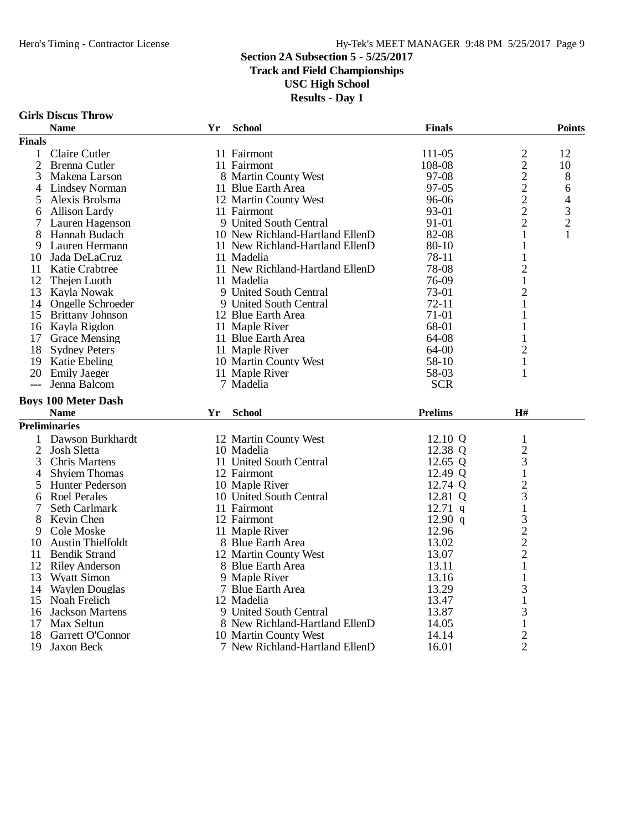**Track and Field Championships**

**USC High School**

|  |  | <b>Girls Discus Throw</b> |
|--|--|---------------------------|
|--|--|---------------------------|

|                     | <b>Name</b>                  | Yr | <b>School</b>                         | <b>Finals</b>      |                     | <b>Points</b>  |
|---------------------|------------------------------|----|---------------------------------------|--------------------|---------------------|----------------|
| <b>Finals</b>       |                              |    |                                       |                    |                     |                |
| 1                   | Claire Cutler                |    | 11 Fairmont                           | 111-05             |                     | 12             |
| $\overline{2}$      | Brenna Cutler                |    | 11 Fairmont                           | 108-08             | $\frac{2}{2}$       | 10             |
| 3                   | Makena Larson                |    | 8 Martin County West                  | 97-08              | $\overline{c}$      | 8              |
| 4                   | <b>Lindsey Norman</b>        |    | 11 Blue Earth Area                    | 97-05              | $\overline{c}$      | 6              |
| 5                   | Alexis Brolsma               |    | 12 Martin County West                 | 96-06              |                     | 4              |
| 6                   | <b>Allison Lardy</b>         |    | 11 Fairmont                           | 93-01              | $\frac{2}{2}$       | 3              |
| 7                   | Lauren Hagenson              |    | 9 United South Central                | 91-01              | $\overline{c}$      | $\overline{c}$ |
| 8                   | Hannah Budach                |    | 10 New Richland-Hartland EllenD       | 82-08              | 1                   | 1              |
| 9                   | Lauren Hermann               |    | 11 New Richland-Hartland EllenD       | 80-10              | $\mathbf{1}$        |                |
| 10                  | Jada DeLaCruz                |    | 11 Madelia                            | 78-11              | $\mathbf{1}$        |                |
|                     | 11 Katie Crabtree            |    | 11 New Richland-Hartland EllenD       | 78-08              | $\overline{2}$      |                |
| 12                  | Thejen Luoth                 |    | 11 Madelia                            | 76-09              | $\mathbf{1}$        |                |
| 13                  | Kayla Nowak                  |    | 9 United South Central                | 73-01              | $\overline{c}$      |                |
|                     | 14 Ongelle Schroeder         |    | 9 United South Central                | $72 - 11$          | $\mathbf{1}$        |                |
| 15                  | <b>Brittany Johnson</b>      |    | 12 Blue Earth Area                    | 71-01              | 1                   |                |
|                     | 16 Kayla Rigdon              |    | 11 Maple River                        | 68-01              | 1                   |                |
|                     | 17 Grace Mensing             |    | 11 Blue Earth Area                    | 64-08              | 1                   |                |
| 18                  | <b>Sydney Peters</b>         |    | 11 Maple River                        | 64-00              | $\mathbf{2}$        |                |
|                     | 19 Katie Ebeling             |    | 10 Martin County West                 | 58-10              | $\mathbf{1}$        |                |
|                     | 20 Emily Jaeger              |    | 11 Maple River                        | 58-03              | 1                   |                |
| $---$               | Jenna Balcom                 |    | 7 Madelia                             | <b>SCR</b>         |                     |                |
|                     | <b>Boys 100 Meter Dash</b>   |    |                                       |                    |                     |                |
|                     | <b>Name</b>                  | Yr | <b>School</b>                         | <b>Prelims</b>     | H#                  |                |
|                     | <b>Preliminaries</b>         |    |                                       |                    |                     |                |
|                     | Dawson Burkhardt             |    |                                       |                    |                     |                |
| 1                   |                              |    | 12 Martin County West                 | 12.10 Q<br>12.38 Q | $\mathbf{1}$        |                |
| $\overline{c}$<br>3 | Josh Sletta<br>Chris Martens |    | 10 Madelia<br>11 United South Central | 12.65 Q            | $\overline{c}$<br>3 |                |
| 4                   | <b>Shyiem Thomas</b>         |    | 12 Fairmont                           | 12.49 Q            | $\mathbf{1}$        |                |
| 5                   | Hunter Pederson              |    | 10 Maple River                        | 12.74 Q            | $\overline{c}$      |                |
| 6                   | Roel Perales                 |    | 10 United South Central               | 12.81 Q            | 3                   |                |
| 7                   | Seth Carlmark                |    | 11 Fairmont                           | $12.71$ q          | $\mathbf 1$         |                |
|                     | Kevin Chen                   |    | 12 Fairmont                           | 12.90 $q$          | 3                   |                |
| 8<br>9              | Cole Moske                   |    | 11 Maple River                        | 12.96              | $\overline{c}$      |                |
| 10                  | <b>Austin Thielfoldt</b>     |    | 8 Blue Earth Area                     | 13.02              | $\overline{c}$      |                |
| 11                  | <b>Bendik Strand</b>         |    | 12 Martin County West                 | 13.07              | $\overline{c}$      |                |
|                     | 12 Riley Anderson            |    | 8 Blue Earth Area                     | 13.11              | $\mathbf{1}$        |                |
| 13                  | <b>Wyatt Simon</b>           |    | 9 Maple River                         | 13.16              | $\mathbf{1}$        |                |
| 14                  | <b>Waylen Douglas</b>        |    | 7 Blue Earth Area                     | 13.29              | 3                   |                |
| 15                  | Noah Frelich                 |    | 12 Madelia                            | 13.47              | 1                   |                |
| 16                  | <b>Jackson Martens</b>       |    | 9 United South Central                | 13.87              | 3                   |                |
| 17                  | Max Seltun                   |    | 8 New Richland-Hartland EllenD        | 14.05              | 1                   |                |
| 18                  | Garrett O'Connor             |    | 10 Martin County West                 | 14.14              | $\mathbf{2}$        |                |
| 19                  | Jaxon Beck                   |    | 7 New Richland-Hartland EllenD        | 16.01              | $\overline{2}$      |                |
|                     |                              |    |                                       |                    |                     |                |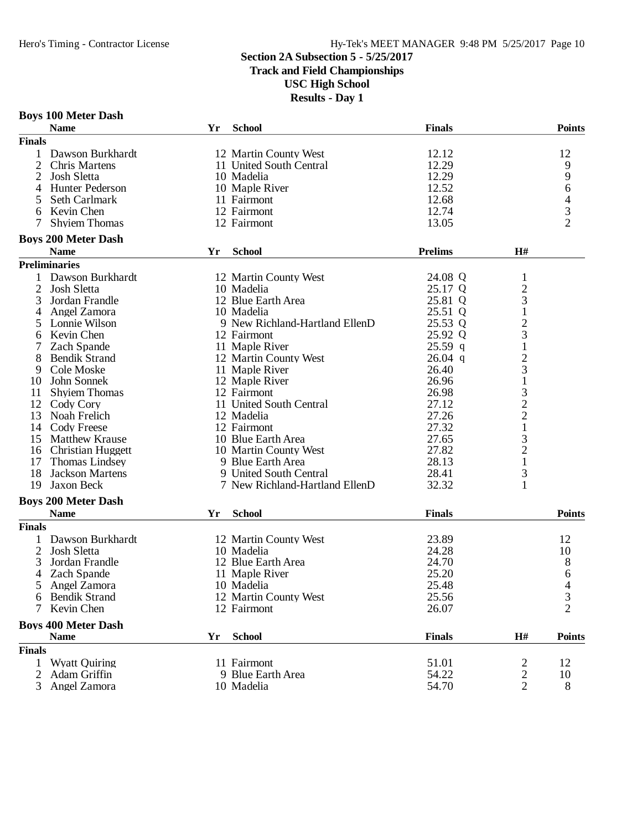**Boys 100 Meter Dash**

## **Section 2A Subsection 5 - 5/25/2017**

**Track and Field Championships**

**USC High School**

| <b>Name</b>                    | Yr | <b>School</b>                  | <b>Finals</b>  |                | <b>Points</b>  |
|--------------------------------|----|--------------------------------|----------------|----------------|----------------|
| <b>Finals</b>                  |    |                                |                |                |                |
| 1<br>Dawson Burkhardt          |    | 12 Martin County West          | 12.12          |                | 12             |
| 2<br>Chris Martens             |    | 11 United South Central        | 12.29          |                | 9              |
| $\overline{2}$<br>Josh Sletta  |    | 10 Madelia                     | 12.29          |                | 9              |
| 4<br><b>Hunter Pederson</b>    |    | 10 Maple River                 | 12.52          |                | 6              |
| 5<br>Seth Carlmark             |    | 11 Fairmont                    | 12.68          |                | 4              |
| 6<br>Kevin Chen                |    | 12 Fairmont                    | 12.74          |                |                |
| 7<br><b>Shyiem Thomas</b>      |    | 12 Fairmont                    | 13.05          |                | $\frac{3}{2}$  |
| <b>Boys 200 Meter Dash</b>     |    |                                |                |                |                |
| <b>Name</b>                    | Yr | <b>School</b>                  | <b>Prelims</b> | H#             |                |
| <b>Preliminaries</b>           |    |                                |                |                |                |
| Dawson Burkhardt<br>1          |    | 12 Martin County West          | 24.08 Q        | $\mathbf{1}$   |                |
| $\overline{2}$<br>Josh Sletta  |    | 10 Madelia                     | 25.17 Q        | $\overline{c}$ |                |
| 3<br>Jordan Frandle            |    | 12 Blue Earth Area             | 25.81 Q        | 3              |                |
| Angel Zamora                   |    | 10 Madelia                     | 25.51 Q        | $\mathbf{1}$   |                |
| 4                              |    |                                |                |                |                |
| 5<br>Lonnie Wilson             |    | 9 New Richland-Hartland EllenD | 25.53 Q        | $\overline{c}$ |                |
| Kevin Chen<br>6                |    | 12 Fairmont                    | 25.92 Q        | 3              |                |
| 7<br>Zach Spande               |    | 11 Maple River                 | $25.59$ q      | $\mathbf{1}$   |                |
| 8<br><b>Bendik Strand</b>      |    | 12 Martin County West          | $26.04$ q      | $\overline{c}$ |                |
| 9<br>Cole Moske                |    | 11 Maple River                 | 26.40          | 3              |                |
| John Sonnek<br>10              |    | 12 Maple River                 | 26.96          | $\mathbf{1}$   |                |
| <b>Shyiem Thomas</b><br>11     |    | 12 Fairmont                    | 26.98          | 3              |                |
| 12<br>Cody Cory                |    | 11 United South Central        | 27.12          | $\overline{c}$ |                |
| 13<br>Noah Frelich             |    | 12 Madelia                     | 27.26          | $\overline{c}$ |                |
| 14 Cody Freese                 |    | 12 Fairmont                    | 27.32          | $\mathbf{1}$   |                |
| 15<br><b>Matthew Krause</b>    |    | 10 Blue Earth Area             | 27.65          | 3              |                |
| 16<br><b>Christian Huggett</b> |    | 10 Martin County West          | 27.82          | $\overline{c}$ |                |
| 17<br>Thomas Lindsey           |    | 9 Blue Earth Area              | 28.13          | $\mathbf{1}$   |                |
| 18<br><b>Jackson Martens</b>   |    | 9 United South Central         | 28.41          | 3              |                |
| 19<br>Jaxon Beck               |    | 7 New Richland-Hartland EllenD | 32.32          | 1              |                |
| <b>Boys 200 Meter Dash</b>     |    |                                |                |                |                |
| <b>Name</b>                    | Yr | <b>School</b>                  | <b>Finals</b>  |                | Points         |
| <b>Finals</b>                  |    |                                |                |                |                |
| Dawson Burkhardt               |    | 12 Martin County West          | 23.89          |                | 12             |
| $\overline{2}$<br>Josh Sletta  |    | 10 Madelia                     | 24.28          |                | 10             |
| 3<br>Jordan Frandle            |    | 12 Blue Earth Area             | 24.70          |                | 8              |
| Zach Spande<br>4               |    | 11 Maple River                 | 25.20          |                | 6              |
| 5<br>Angel Zamora              |    | 10 Madelia                     | 25.48          |                | 4              |
| 6 Bendik Strand                |    | 12 Martin County West          | 25.56          |                | 3              |
| Kevin Chen<br>7                |    | 12 Fairmont                    | 26.07          |                | $\overline{2}$ |
| <b>Boys 400 Meter Dash</b>     |    |                                |                |                |                |
| <b>Name</b>                    | Yr | <b>School</b>                  | <b>Finals</b>  | H#             | <b>Points</b>  |
| <b>Finals</b>                  |    |                                |                |                |                |
| 1<br><b>Wyatt Quiring</b>      |    | 11 Fairmont                    | 51.01          | 2              | 12             |
| 2<br>Adam Griffin              |    | 9 Blue Earth Area              | 54.22          | 2              | 10             |
| 3<br>Angel Zamora              |    | 10 Madelia                     | 54.70          | $\overline{2}$ | 8              |
|                                |    |                                |                |                |                |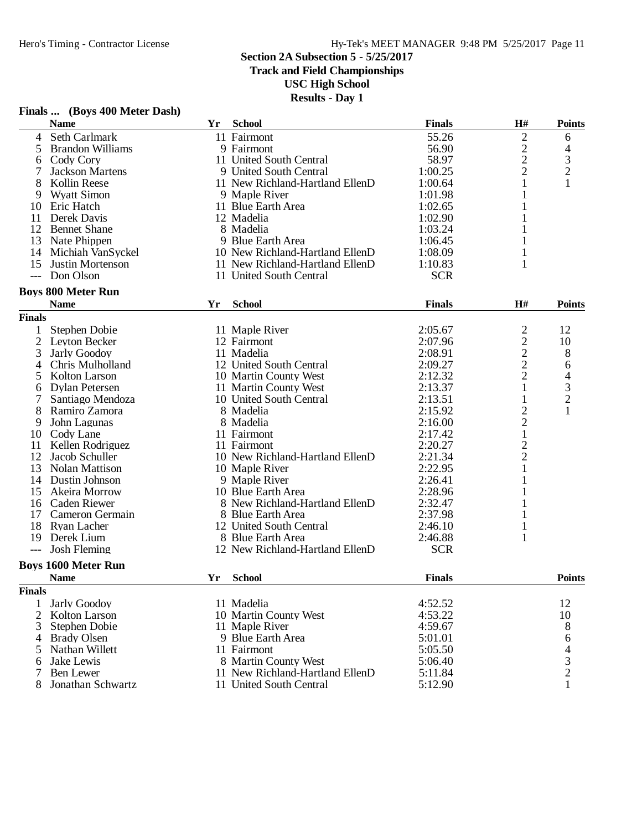**Track and Field Championships**

#### **USC High School**

**Results - Day 1**

|                          | $\mathbf{r}$ mans $\mathbf{m}$ (DO)s too meet Dasn<br><b>Name</b> | Yr | <b>School</b>                   | <b>Finals</b> | H#             | <b>Points</b>                                   |
|--------------------------|-------------------------------------------------------------------|----|---------------------------------|---------------|----------------|-------------------------------------------------|
| $\overline{4}$           | Seth Carlmark                                                     |    | 11 Fairmont                     | 55.26         | $\overline{c}$ | 6                                               |
| 5                        | <b>Brandon Williams</b>                                           |    | 9 Fairmont                      | 56.90         |                | 4                                               |
| 6                        | Cody Cory                                                         |    | 11 United South Central         | 58.97         | $\frac{2}{2}$  |                                                 |
| 7                        | <b>Jackson Martens</b>                                            |    | 9 United South Central          | 1:00.25       | $\overline{2}$ | $\frac{3}{2}$                                   |
| 8                        | Kollin Reese                                                      |    | 11 New Richland-Hartland EllenD | 1:00.64       | $\mathbf{1}$   | $\mathbf{1}$                                    |
| 9                        | <b>Wyatt Simon</b>                                                |    | 9 Maple River                   | 1:01.98       | 1              |                                                 |
| 10                       | Eric Hatch                                                        |    | 11 Blue Earth Area              | 1:02.65       | 1              |                                                 |
| 11                       | Derek Davis                                                       |    | 12 Madelia                      | 1:02.90       |                |                                                 |
| 12                       | <b>Bennet Shane</b>                                               |    | 8 Madelia                       | 1:03.24       |                |                                                 |
| 13                       | Nate Phippen                                                      |    | 9 Blue Earth Area               | 1:06.45       | 1              |                                                 |
| 14                       | Michiah VanSyckel                                                 |    | 10 New Richland-Hartland EllenD | 1:08.09       | 1              |                                                 |
| 15                       | Justin Mortenson                                                  |    | 11 New Richland-Hartland EllenD | 1:10.83       | 1              |                                                 |
| $\hspace{0.05cm} \ldots$ | Don Olson                                                         |    | 11 United South Central         | <b>SCR</b>    |                |                                                 |
|                          | <b>Boys 800 Meter Run</b>                                         |    |                                 |               |                |                                                 |
|                          | <b>Name</b>                                                       | Yr | <b>School</b>                   | <b>Finals</b> | H#             | <b>Points</b>                                   |
| <b>Finals</b>            |                                                                   |    |                                 |               |                |                                                 |
| 1                        | Stephen Dobie                                                     |    | 11 Maple River                  | 2:05.67       | $\overline{c}$ | 12                                              |
| 2                        | Leyton Becker                                                     |    | 12 Fairmont                     | 2:07.96       | $\overline{c}$ | 10                                              |
| 3                        | Jarly Goodoy                                                      |    | 11 Madelia                      | 2:08.91       | $\overline{c}$ | 8                                               |
| 4                        | Chris Mulholland                                                  |    | 12 United South Central         | 2:09.27       | $\overline{c}$ | 6                                               |
| 5                        | Kolton Larson                                                     |    | 10 Martin County West           | 2:12.32       | $\overline{c}$ |                                                 |
| 6                        | Dylan Petersen                                                    |    | 11 Martin County West           | 2:13.37       | 1              |                                                 |
|                          | Santiago Mendoza                                                  |    | 10 United South Central         | 2:13.51       | 1              |                                                 |
|                          | Ramiro Zamora                                                     |    | 8 Madelia                       | 2:15.92       | $\overline{c}$ | $\begin{array}{c} 4 \\ 3 \\ 2 \\ 1 \end{array}$ |
| 9                        | John Lagunas                                                      |    | 8 Madelia                       | 2:16.00       | $\overline{c}$ |                                                 |
| 10                       | Cody Lane                                                         |    | 11 Fairmont                     | 2:17.42       | $\mathbf 1$    |                                                 |
| 11                       | Kellen Rodriguez                                                  |    | 11 Fairmont                     | 2:20.27       |                |                                                 |
| 12                       | Jacob Schuller                                                    |    | 10 New Richland-Hartland EllenD | 2:21.34       | $\frac{2}{2}$  |                                                 |
|                          |                                                                   |    |                                 |               |                |                                                 |
| 13                       | Nolan Mattison                                                    |    | 10 Maple River                  | 2:22.95       | 1              |                                                 |
| 14                       | Dustin Johnson                                                    |    | 9 Maple River                   | 2:26.41       | 1              |                                                 |
| 15                       | Akeira Morrow                                                     |    | 10 Blue Earth Area              | 2:28.96       |                |                                                 |
| 16                       | Caden Riewer                                                      |    | 8 New Richland-Hartland EllenD  | 2:32.47       | 1              |                                                 |
| 17                       | Cameron Germain                                                   |    | 8 Blue Earth Area               | 2:37.98       | 1              |                                                 |
| 18                       | Ryan Lacher                                                       |    | 12 United South Central         | 2:46.10       | 1              |                                                 |
| 19                       | Derek Lium                                                        |    | 8 Blue Earth Area               | 2:46.88       | 1              |                                                 |
| $---$                    | <b>Josh Fleming</b>                                               |    | 12 New Richland-Hartland EllenD | <b>SCR</b>    |                |                                                 |
|                          | <b>Boys 1600 Meter Run</b>                                        |    |                                 |               |                |                                                 |
|                          | <b>Name</b>                                                       | Yr | <b>School</b>                   | <b>Finals</b> |                | <b>Points</b>                                   |
| <b>Finals</b>            |                                                                   |    |                                 |               |                |                                                 |
| 1                        | <b>Jarly Goodoy</b>                                               |    | 11 Madelia                      | 4:52.52       |                | 12                                              |
| 2                        | Kolton Larson                                                     |    | 10 Martin County West           | 4:53.22       |                | 10                                              |
| 3                        | Stephen Dobie                                                     |    | 11 Maple River                  | 4:59.67       |                | 8                                               |
| 4                        | <b>Brady Olsen</b>                                                |    | 9 Blue Earth Area               | 5:01.01       |                | 6                                               |
| 5                        | Nathan Willett                                                    |    | 11 Fairmont                     | 5:05.50       |                | $\begin{array}{c} 4 \\ 3 \\ 2 \end{array}$      |
| 6                        | Jake Lewis                                                        |    | 8 Martin County West            | 5:06.40       |                |                                                 |
|                          | Ben Lewer                                                         |    | 11 New Richland-Hartland EllenD | 5:11.84       |                |                                                 |
| 8                        | Jonathan Schwartz                                                 |    | 11 United South Central         | 5:12.90       |                | 1                                               |

# **Finals ... (Boys 400 Meter Dash)**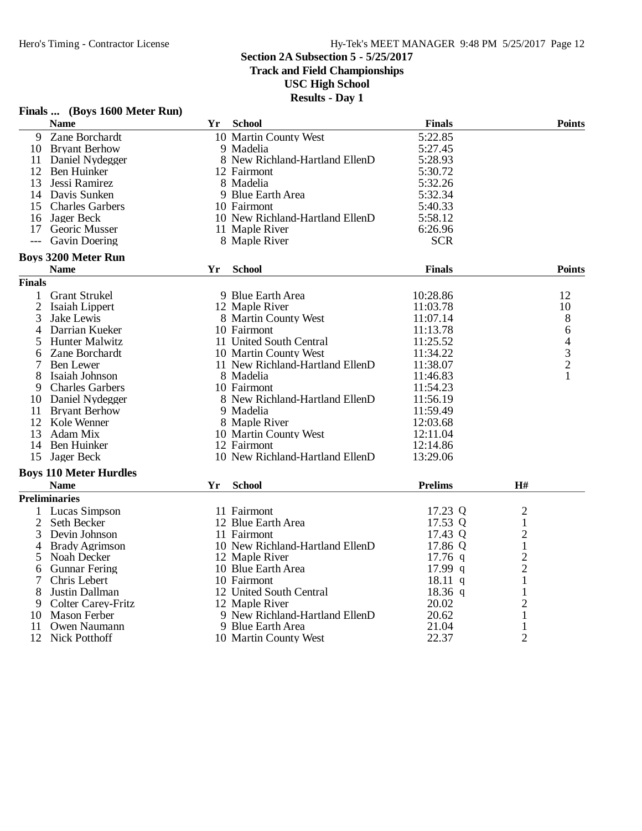**Track and Field Championships**

**USC High School**

**Results - Day 1**

|                | <b>Name</b>                   | Yr | <b>School</b>                   | <b>Finals</b>  |                     | <b>Points</b>                              |
|----------------|-------------------------------|----|---------------------------------|----------------|---------------------|--------------------------------------------|
| 9              | Zane Borchardt                |    | 10 Martin County West           | 5:22.85        |                     |                                            |
|                | 10 Bryant Berhow              |    | 9 Madelia                       | 5:27.45        |                     |                                            |
|                | 11 Daniel Nydegger            |    | 8 New Richland-Hartland EllenD  | 5:28.93        |                     |                                            |
|                | 12 Ben Huinker                |    | 12 Fairmont                     | 5:30.72        |                     |                                            |
|                | 13 Jessi Ramirez              |    | 8 Madelia                       | 5:32.26        |                     |                                            |
|                | 14 Davis Sunken               |    | 9 Blue Earth Area               | 5:32.34        |                     |                                            |
| 15             | <b>Charles Garbers</b>        |    | 10 Fairmont                     | 5:40.33        |                     |                                            |
|                | 16 Jager Beck                 |    | 10 New Richland-Hartland EllenD | 5:58.12        |                     |                                            |
|                | 17 Georic Musser              |    | 11 Maple River                  | 6:26.96        |                     |                                            |
| $---$          | <b>Gavin Doering</b>          |    | 8 Maple River                   | <b>SCR</b>     |                     |                                            |
|                | <b>Boys 3200 Meter Run</b>    |    |                                 |                |                     |                                            |
|                | <b>Name</b>                   | Yr | <b>School</b>                   | <b>Finals</b>  |                     | <b>Points</b>                              |
| <b>Finals</b>  |                               |    |                                 |                |                     |                                            |
| 1              | <b>Grant Strukel</b>          |    | 9 Blue Earth Area               | 10:28.86       |                     | 12                                         |
| $\overline{2}$ | Isaiah Lippert                |    | 12 Maple River                  | 11:03.78       |                     | 10                                         |
| 3              | Jake Lewis                    |    | 8 Martin County West            | 11:07.14       |                     | 8                                          |
| 4              | Darrian Kueker                |    | 10 Fairmont                     | 11:13.78       |                     | 6                                          |
| 5              | <b>Hunter Malwitz</b>         |    | 11 United South Central         | 11:25.52       |                     |                                            |
| 6              | Zane Borchardt                |    | 10 Martin County West           | 11:34.22       |                     | $\begin{array}{c} 4 \\ 3 \\ 2 \end{array}$ |
| 7              | <b>Ben</b> Lewer              |    | 11 New Richland-Hartland EllenD | 11:38.07       |                     |                                            |
| 8              | Isaiah Johnson                |    | 8 Madelia                       | 11:46.83       |                     | $\mathbf{1}$                               |
| 9              | <b>Charles Garbers</b>        |    | 10 Fairmont                     | 11:54.23       |                     |                                            |
|                | 10 Daniel Nydegger            |    | 8 New Richland-Hartland EllenD  | 11:56.19       |                     |                                            |
|                | 11 Bryant Berhow              |    | 9 Madelia                       | 11:59.49       |                     |                                            |
|                | 12 Kole Wenner                |    | 8 Maple River                   | 12:03.68       |                     |                                            |
| 13             | Adam Mix                      |    | 10 Martin County West           | 12:11.04       |                     |                                            |
| 14             | Ben Huinker                   |    | 12 Fairmont                     | 12:14.86       |                     |                                            |
| 15             | Jager Beck                    |    | 10 New Richland-Hartland EllenD | 13:29.06       |                     |                                            |
|                | <b>Boys 110 Meter Hurdles</b> |    |                                 |                |                     |                                            |
|                | <b>Name</b>                   | Yr | <b>School</b>                   | <b>Prelims</b> | $\mathbf{H}$ #      |                                            |
|                | <b>Preliminaries</b>          |    |                                 |                |                     |                                            |
|                | Lucas Simpson                 |    | 11 Fairmont                     | 17.23 Q        | $\overline{2}$      |                                            |
| $\overline{2}$ | Seth Becker                   |    | 12 Blue Earth Area              | 17.53 Q        | $\mathbf{1}$        |                                            |
| 3              | Devin Johnson                 |    | 11 Fairmont                     | 17.43 Q        | 2                   |                                            |
| 4              | <b>Brady Agrimson</b>         |    | 10 New Richland-Hartland EllenD | 17.86 Q        | $\mathbf{1}$        |                                            |
| 5              | Noah Decker                   |    | 12 Maple River                  | $17.76$ q      | $\overline{c}$      |                                            |
| 6              | <b>Gunnar Fering</b>          |    | 10 Blue Earth Area              | 17.99 q        | $\overline{2}$      |                                            |
| 7              | Chris Lebert                  |    | 10 Fairmont                     | $18.11$ q      | $\mathbf{1}$        |                                            |
| 8              | Justin Dallman                |    | 12 United South Central         | $18.36$ q      | 1                   |                                            |
| 9              | <b>Colter Carey-Fritz</b>     |    | 12 Maple River                  | 20.02          | $\overline{2}$      |                                            |
|                | 10 Mason Ferber               |    | 9 New Richland-Hartland EllenD  | 20.62          | $\mathbf{1}$        |                                            |
|                | Owen Naumann                  |    |                                 | 21.04          |                     |                                            |
| 11<br>12       |                               |    | 9 Blue Earth Area               | 22.37          | 1<br>$\overline{2}$ |                                            |
|                | <b>Nick Potthoff</b>          |    | 10 Martin County West           |                |                     |                                            |

# **Finals ... (Boys 1600 Meter Run)**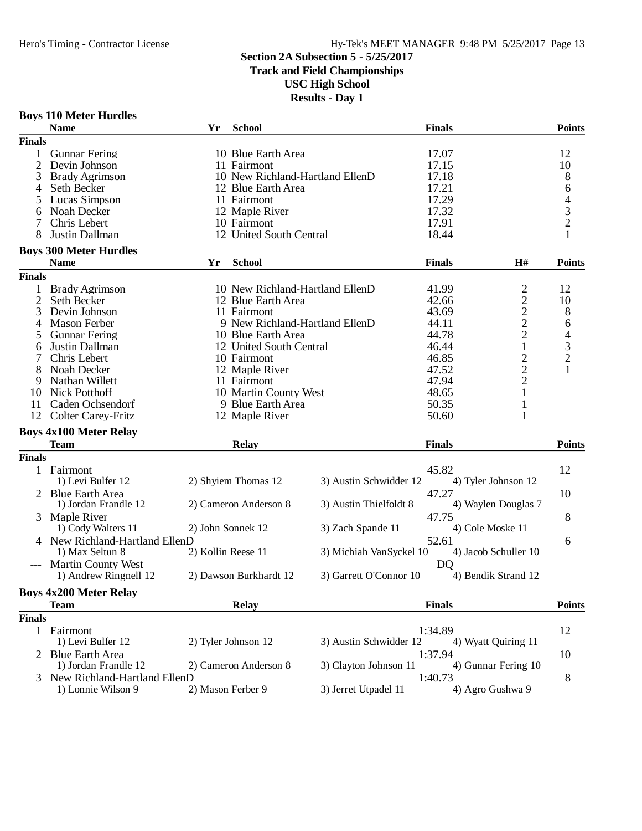**Track and Field Championships**

**USC High School**

| <b>Boys 110 Meter Hurdles</b> |  |
|-------------------------------|--|
| <b>Name</b>                   |  |
| --                            |  |

|                | <b>Name</b>                    | Yr                 | <b>School</b>           |                                 | <b>Finals</b> |                      | <b>Points</b>                              |
|----------------|--------------------------------|--------------------|-------------------------|---------------------------------|---------------|----------------------|--------------------------------------------|
| <b>Finals</b>  |                                |                    |                         |                                 |               |                      |                                            |
| 1              | <b>Gunnar Fering</b>           |                    | 10 Blue Earth Area      |                                 | 17.07         |                      | 12                                         |
| 2              | Devin Johnson                  |                    | 11 Fairmont             |                                 | 17.15         |                      | 10                                         |
| 3              | <b>Brady Agrimson</b>          |                    |                         | 10 New Richland-Hartland EllenD | 17.18         |                      | 8                                          |
| 4              | Seth Becker                    |                    | 12 Blue Earth Area      |                                 | 17.21         |                      | 6                                          |
| 5              | Lucas Simpson                  |                    | 11 Fairmont             |                                 | 17.29         |                      |                                            |
|                |                                |                    |                         |                                 |               |                      |                                            |
| 6              | Noah Decker                    |                    | 12 Maple River          |                                 | 17.32         |                      | $\begin{array}{c} 4 \\ 3 \\ 2 \end{array}$ |
| 7              | Chris Lebert                   |                    | 10 Fairmont             |                                 | 17.91         |                      |                                            |
| 8              | Justin Dallman                 |                    | 12 United South Central |                                 | 18.44         |                      |                                            |
|                | <b>Boys 300 Meter Hurdles</b>  |                    |                         |                                 |               |                      |                                            |
|                | <b>Name</b>                    | Yr                 | <b>School</b>           |                                 | <b>Finals</b> | H#                   | <b>Points</b>                              |
| <b>Finals</b>  |                                |                    |                         |                                 |               |                      |                                            |
| 1              | <b>Brady Agrimson</b>          |                    |                         | 10 New Richland-Hartland EllenD | 41.99         |                      | 12                                         |
| $\mathfrak{2}$ | Seth Becker                    |                    | 12 Blue Earth Area      |                                 | 42.66         |                      | 10                                         |
| 3              | Devin Johnson                  |                    | 11 Fairmont             |                                 | 43.69         | $2222$<br>$221$      | 8                                          |
| 4              | <b>Mason Ferber</b>            |                    |                         | 9 New Richland-Hartland EllenD  | 44.11         |                      | 6                                          |
| 5              | <b>Gunnar Fering</b>           |                    | 10 Blue Earth Area      |                                 | 44.78         |                      | $\overline{\mathcal{A}}$                   |
| 6              | Justin Dallman                 |                    | 12 United South Central |                                 | 46.44         |                      |                                            |
| 7              | Chris Lebert                   |                    | 10 Fairmont             |                                 | 46.85         |                      | $\begin{array}{c} 3 \\ 2 \\ 1 \end{array}$ |
| 8              | Noah Decker                    |                    | 12 Maple River          |                                 | 47.52         |                      |                                            |
| 9              | Nathan Willett                 |                    | 11 Fairmont             |                                 | 47.94         | $\frac{2}{2}$        |                                            |
|                | <b>Nick Potthoff</b>           |                    |                         |                                 | 48.65         | $\mathbf{1}$         |                                            |
| 10             |                                |                    | 10 Martin County West   |                                 |               |                      |                                            |
| 11             | Caden Ochsendorf               |                    | 9 Blue Earth Area       |                                 | 50.35         | $\mathbf{1}$         |                                            |
| 12             | <b>Colter Carey-Fritz</b>      |                    | 12 Maple River          |                                 | 50.60         | 1                    |                                            |
|                | <b>Boys 4x100 Meter Relay</b>  |                    |                         |                                 |               |                      |                                            |
|                | <b>Team</b>                    |                    | <b>Relay</b>            |                                 | <b>Finals</b> |                      | <b>Points</b>                              |
| <b>Finals</b>  |                                |                    |                         |                                 |               |                      |                                            |
|                | 1 Fairmont                     |                    |                         |                                 | 45.82         |                      | 12                                         |
|                | 1) Levi Bulfer 12              |                    | 2) Shyiem Thomas 12     | 3) Austin Schwidder 12          |               | 4) Tyler Johnson 12  |                                            |
|                | <b>Blue Earth Area</b>         |                    |                         |                                 | 47.27         |                      | 10                                         |
|                | 1) Jordan Frandle 12           |                    | 2) Cameron Anderson 8   | 3) Austin Thielfoldt 8          |               | 4) Waylen Douglas 7  |                                            |
| 3              | Maple River                    |                    |                         |                                 | 47.75         |                      | 8                                          |
|                | 1) Cody Walters 11             | 2) John Sonnek 12  |                         | 3) Zach Spande 11               |               | 4) Cole Moske 11     |                                            |
|                | 4 New Richland-Hartland EllenD |                    |                         |                                 |               |                      |                                            |
|                |                                |                    |                         |                                 | 52.61         |                      | 6                                          |
|                | 1) Max Seltun 8                | 2) Kollin Reese 11 |                         | 3) Michiah VanSyckel 10         |               | 4) Jacob Schuller 10 |                                            |
|                | --- Martin County West         |                    |                         |                                 | <b>DQ</b>     |                      |                                            |
|                | 1) Andrew Ringnell 12          |                    | 2) Dawson Burkhardt 12  | 3) Garrett O'Connor 10          |               | 4) Bendik Strand 12  |                                            |
|                | <b>Boys 4x200 Meter Relay</b>  |                    |                         |                                 |               |                      |                                            |
|                | <b>Team</b>                    |                    | <b>Relay</b>            |                                 | <b>Finals</b> |                      | <b>Points</b>                              |
| <b>Finals</b>  |                                |                    |                         |                                 |               |                      |                                            |
| 1              | Fairmont                       |                    |                         |                                 | 1:34.89       |                      | 12                                         |
|                | 1) Levi Bulfer 12              |                    | 2) Tyler Johnson 12     | 3) Austin Schwidder 12          |               | 4) Wyatt Quiring 11  |                                            |
|                | <b>Blue Earth Area</b>         |                    |                         |                                 | 1:37.94       |                      | 10                                         |
|                | 1) Jordan Frandle 12           |                    | 2) Cameron Anderson 8   | 3) Clayton Johnson 11           |               | 4) Gunnar Fering 10  |                                            |
|                | New Richland-Hartland EllenD   |                    |                         |                                 | 1:40.73       |                      |                                            |
|                | 1) Lonnie Wilson 9             | 2) Mason Ferber 9  |                         | 3) Jerret Utpadel 11            |               | 4) Agro Gushwa 9     | 8                                          |
|                |                                |                    |                         |                                 |               |                      |                                            |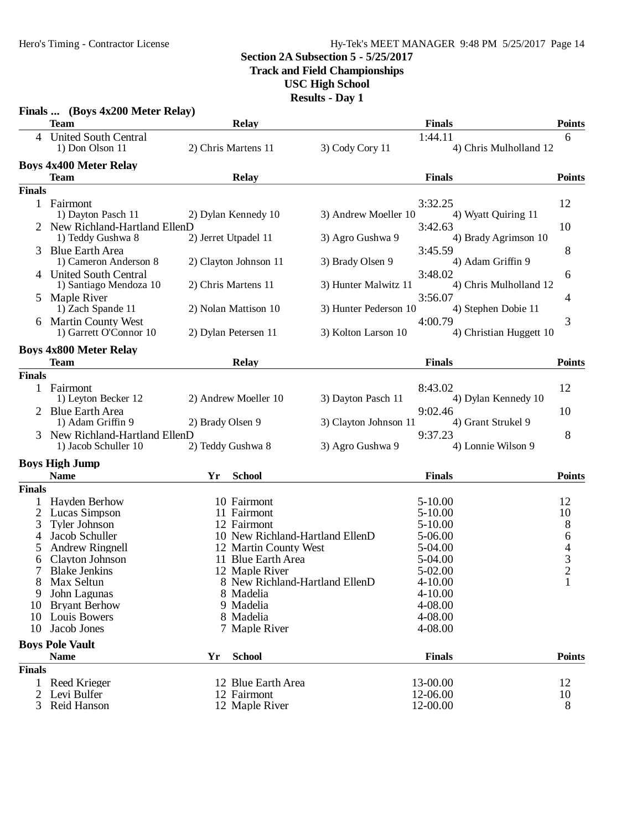#### Hero's Timing - Contractor License Hy-Tek's MEET MANAGER 9:48 PM 5/25/2017 Page 14

### **Section 2A Subsection 5 - 5/25/2017**

**Track and Field Championships**

**USC High School**

|               | Finals  (Boys 4x200 Meter Relay)<br><b>Team</b> |                  | 1105 M.W<br><b>Relay</b>        |                       | <b>Finals</b> |                         | <b>Points</b>  |
|---------------|-------------------------------------------------|------------------|---------------------------------|-----------------------|---------------|-------------------------|----------------|
|               |                                                 |                  |                                 |                       |               |                         |                |
|               | 4 United South Central<br>1) Don Olson 11       |                  | 2) Chris Martens 11             | 3) Cody Cory 11       | 1:44.11       | 4) Chris Mulholland 12  | 6              |
|               | <b>Boys 4x400 Meter Relay</b>                   |                  |                                 |                       |               |                         |                |
|               | Team                                            |                  | <b>Relay</b>                    |                       | <b>Finals</b> |                         | <b>Points</b>  |
| <b>Finals</b> |                                                 |                  |                                 |                       |               |                         |                |
| 1             | Fairmont                                        |                  |                                 |                       | 3:32.25       |                         | 12             |
|               | 1) Dayton Pasch 11                              |                  | 2) Dylan Kennedy 10             | 3) Andrew Moeller 10  |               | 4) Wyatt Quiring 11     |                |
|               | 2 New Richland-Hartland EllenD                  |                  |                                 |                       | 3:42.63       |                         | 10             |
|               | 1) Teddy Gushwa 8                               |                  | 2) Jerret Utpadel 11            | 3) Agro Gushwa 9      |               | 4) Brady Agrimson 10    |                |
|               | 3 Blue Earth Area                               |                  |                                 |                       | 3:45.59       |                         | 8              |
|               | 1) Cameron Anderson 8                           |                  | 2) Clayton Johnson 11           | 3) Brady Olsen 9      |               | 4) Adam Griffin 9       |                |
|               | 4 United South Central                          |                  |                                 |                       | 3:48.02       |                         | 6              |
|               | 1) Santiago Mendoza 10                          |                  | 2) Chris Martens 11             | 3) Hunter Malwitz 11  |               | 4) Chris Mulholland 12  |                |
|               | 5 Maple River                                   |                  |                                 |                       | 3:56.07       |                         | 4              |
|               | 1) Zach Spande 11                               |                  | 2) Nolan Mattison 10            | 3) Hunter Pederson 10 |               | 4) Stephen Dobie 11     |                |
|               | 6 Martin County West                            |                  |                                 |                       | 4:00.79       |                         | 3              |
|               | 1) Garrett O'Connor 10                          |                  | 2) Dylan Petersen 11            | 3) Kolton Larson 10   |               | 4) Christian Huggett 10 |                |
|               |                                                 |                  |                                 |                       |               |                         |                |
|               | <b>Boys 4x800 Meter Relay</b>                   |                  |                                 |                       |               |                         |                |
|               | <b>Team</b>                                     |                  | <b>Relay</b>                    |                       | <b>Finals</b> |                         | <b>Points</b>  |
| <b>Finals</b> |                                                 |                  |                                 |                       |               |                         |                |
|               | 1 Fairmont                                      |                  |                                 |                       | 8:43.02       |                         | 12             |
|               | 1) Leyton Becker 12                             |                  | 2) Andrew Moeller 10            | 3) Dayton Pasch 11    |               | 4) Dylan Kennedy 10     |                |
|               | 2 Blue Earth Area                               |                  |                                 |                       | 9:02.46       |                         | 10             |
|               | 1) Adam Griffin 9                               | 2) Brady Olsen 9 |                                 | 3) Clayton Johnson 11 |               | 4) Grant Strukel 9      |                |
|               | New Richland-Hartland EllenD                    |                  |                                 |                       | 9:37.23       |                         | 8              |
|               | 1) Jacob Schuller 10                            |                  | 2) Teddy Gushwa 8               | 3) Agro Gushwa 9      |               | 4) Lonnie Wilson 9      |                |
|               | <b>Boys High Jump</b>                           |                  |                                 |                       |               |                         |                |
|               | <b>Name</b>                                     | Yr               | <b>School</b>                   |                       | <b>Finals</b> |                         | <b>Points</b>  |
| <b>Finals</b> |                                                 |                  |                                 |                       |               |                         |                |
| 1             | Hayden Berhow                                   |                  | 10 Fairmont                     |                       | $5 - 10.00$   |                         | 12             |
|               | 2 Lucas Simpson                                 |                  | 11 Fairmont                     |                       | $5 - 10.00$   |                         | 10             |
| 3             | <b>Tyler Johnson</b>                            |                  | 12 Fairmont                     |                       | $5 - 10.00$   |                         | 8              |
| 4             | Jacob Schuller                                  |                  | 10 New Richland-Hartland EllenD |                       | 5-06.00       |                         | $\sqrt{6}$     |
| 5             | <b>Andrew Ringnell</b>                          |                  | 12 Martin County West           |                       | 5-04.00       |                         |                |
| 6             | Clayton Johnson                                 |                  | 11 Blue Earth Area              |                       | 5-04.00       |                         | $rac{4}{3}$    |
|               | 7 Blake Jenkins                                 |                  | 12 Maple River                  |                       | 5-02.00       |                         | $\overline{c}$ |
| 8             | Max Seltun                                      |                  | 8 New Richland-Hartland EllenD  |                       | $4 - 10.00$   |                         |                |
| 9             | John Lagunas                                    |                  | 8 Madelia                       |                       | $4 - 10.00$   |                         |                |
| 10            | <b>Bryant Berhow</b>                            |                  | 9 Madelia                       |                       | 4-08.00       |                         |                |
|               | 10 Louis Bowers                                 |                  | 8 Madelia                       |                       | 4-08.00       |                         |                |
| 10            | Jacob Jones                                     |                  | 7 Maple River                   |                       | 4-08.00       |                         |                |
|               | <b>Boys Pole Vault</b>                          |                  |                                 |                       |               |                         |                |
|               | <b>Name</b>                                     | Yr               | <b>School</b>                   |                       | <b>Finals</b> |                         | <b>Points</b>  |
| <b>Finals</b> |                                                 |                  |                                 |                       |               |                         |                |
| $\mathbf{1}$  | Reed Krieger                                    |                  | 12 Blue Earth Area              |                       | 13-00.00      |                         | 12             |
|               | Levi Bulfer                                     |                  | 12 Fairmont                     |                       | 12-06.00      |                         | 10             |
| 3             | Reid Hanson                                     |                  | 12 Maple River                  |                       | 12-00.00      |                         | 8              |
|               |                                                 |                  |                                 |                       |               |                         |                |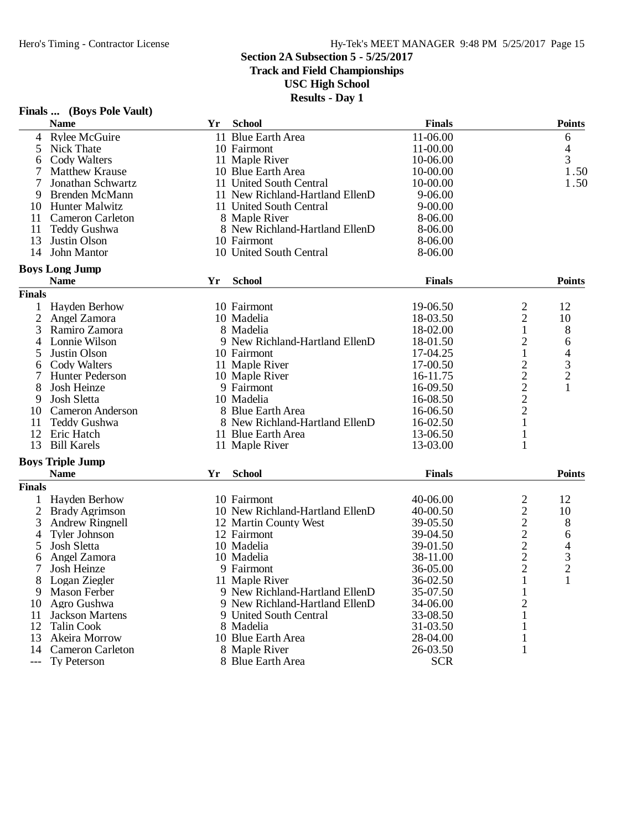**Track and Field Championships**

**USC High School**

|                       | Finals  (Boys Pole Vault) |    |                                 |               |                                |                                                 |
|-----------------------|---------------------------|----|---------------------------------|---------------|--------------------------------|-------------------------------------------------|
|                       | <b>Name</b>               | Yr | <b>School</b>                   | <b>Finals</b> |                                | <b>Points</b>                                   |
| 4                     | <b>Rylee McGuire</b>      |    | 11 Blue Earth Area              | 11-06.00      |                                | 6                                               |
| 5                     | Nick Thate                |    | 10 Fairmont                     | 11-00.00      |                                | 4                                               |
| 6                     | Cody Walters              |    | 11 Maple River                  | 10-06.00      |                                | 3                                               |
|                       | <b>Matthew Krause</b>     |    | 10 Blue Earth Area              | 10-00.00      |                                | 1.50                                            |
| 7                     | Jonathan Schwartz         |    | 11 United South Central         | 10-00.00      |                                | 1.50                                            |
| 9                     | Brenden McMann            |    | 11 New Richland-Hartland EllenD | $9 - 06.00$   |                                |                                                 |
| 10                    | <b>Hunter Malwitz</b>     |    | 11 United South Central         | $9 - 00.00$   |                                |                                                 |
| 11                    | <b>Cameron Carleton</b>   |    | 8 Maple River                   | 8-06.00       |                                |                                                 |
| 11                    | <b>Teddy Gushwa</b>       |    | 8 New Richland-Hartland EllenD  | 8-06.00       |                                |                                                 |
| 13                    | Justin Olson              |    | 10 Fairmont                     | 8-06.00       |                                |                                                 |
| 14                    | John Mantor               |    | 10 United South Central         | 8-06.00       |                                |                                                 |
|                       | <b>Boys Long Jump</b>     |    |                                 |               |                                |                                                 |
|                       | <b>Name</b>               | Yr | <b>School</b>                   | <b>Finals</b> |                                | <b>Points</b>                                   |
| <b>Finals</b>         |                           |    |                                 |               |                                |                                                 |
|                       | Hayden Berhow             |    | 10 Fairmont                     | 19-06.50      |                                | 12                                              |
| $\overline{2}$        | Angel Zamora              |    | 10 Madelia                      | 18-03.50      | $\frac{2}{2}$                  | 10                                              |
| 3                     | Ramiro Zamora             |    | 8 Madelia                       | 18-02.00      | $\mathbf 1$                    | 8                                               |
| 4                     | Lonnie Wilson             |    | 9 New Richland-Hartland EllenD  | 18-01.50      | $\overline{\mathbf{c}}$        | 6                                               |
| 5                     | Justin Olson              |    | 10 Fairmont                     | 17-04.25      | $\mathbf{1}$                   |                                                 |
| 6                     | Cody Walters              |    | 11 Maple River                  | 17-00.50      |                                | $\begin{array}{c} 4 \\ 3 \\ 2 \\ 1 \end{array}$ |
|                       | <b>Hunter Pederson</b>    |    | 10 Maple River                  | 16-11.75      | $\frac{2}{2}$<br>$\frac{2}{2}$ |                                                 |
| 8                     | Josh Heinze               |    | 9 Fairmont                      | 16-09.50      |                                |                                                 |
| 9                     | Josh Sletta               |    | 10 Madelia                      | 16-08.50      |                                |                                                 |
| 10                    | <b>Cameron Anderson</b>   |    | 8 Blue Earth Area               | 16-06.50      |                                |                                                 |
| 11                    | <b>Teddy Gushwa</b>       |    | 8 New Richland-Hartland EllenD  | 16-02.50      | $\mathbf{1}$                   |                                                 |
| 12                    | Eric Hatch                |    | 11 Blue Earth Area              | 13-06.50      |                                |                                                 |
| 13                    |                           |    |                                 |               | 1                              |                                                 |
|                       | <b>Bill Karels</b>        |    | 11 Maple River                  | 13-03.00      | 1                              |                                                 |
|                       | <b>Boys Triple Jump</b>   |    |                                 |               |                                |                                                 |
|                       | <b>Name</b>               | Yr | <b>School</b>                   | <b>Finals</b> |                                | <b>Points</b>                                   |
| <b>Finals</b>         |                           |    |                                 |               |                                |                                                 |
| 1                     | <b>Hayden Berhow</b>      |    | 10 Fairmont                     | 40-06.00      | $\overline{\mathbf{c}}$        | 12                                              |
| $\overline{2}$        | <b>Brady Agrimson</b>     |    | 10 New Richland-Hartland EllenD | 40-00.50      |                                | 10                                              |
| 3                     | <b>Andrew Ringnell</b>    |    | 12 Martin County West           | 39-05.50      | $22222$<br>$222$               | 8                                               |
| 4                     | <b>Tyler Johnson</b>      |    | 12 Fairmont                     | 39-04.50      |                                | 6                                               |
| 5                     | Josh Sletta               |    | 10 Madelia                      | 39-01.50      |                                | 4                                               |
| 6                     | Angel Zamora              |    | 10 Madelia                      | 38-11.00      |                                | 3                                               |
| 7                     | Josh Heinze               |    | 9 Fairmont                      | 36-05.00      |                                | $\overline{2}$                                  |
| 8                     | Logan Ziegler             |    | 11 Maple River                  | 36-02.50      | 1                              | 1                                               |
| 9                     | <b>Mason Ferber</b>       |    | 9 New Richland-Hartland EllenD  | 35-07.50      | 1                              |                                                 |
| 10                    | Agro Gushwa               |    | 9 New Richland-Hartland EllenD  | 34-06.00      | $\overline{c}$                 |                                                 |
| 11                    | <b>Jackson Martens</b>    |    | 9 United South Central          | 33-08.50      | 1                              |                                                 |
| 12                    | <b>Talin Cook</b>         |    | 8 Madelia                       | 31-03.50      | 1                              |                                                 |
| 13                    | Akeira Morrow             |    | 10 Blue Earth Area              | 28-04.00      | 1                              |                                                 |
| 14                    | <b>Cameron Carleton</b>   |    | 8 Maple River                   | 26-03.50      | 1                              |                                                 |
| $\scriptstyle \cdots$ | Ty Peterson               |    | 8 Blue Earth Area               | <b>SCR</b>    |                                |                                                 |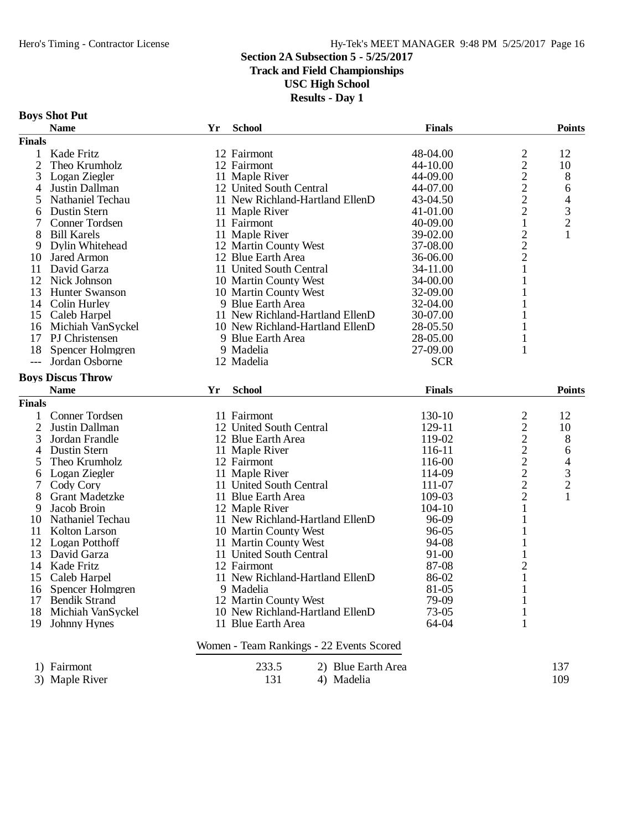**Track and Field Championships**

**USC High School**

**Results - Day 1**

#### **Boys Shot Put**

|                     | <b>Name</b>                       | Yr | <b>School</b>                                            | <b>Finals</b>        |                                                   | <b>Points</b>  |
|---------------------|-----------------------------------|----|----------------------------------------------------------|----------------------|---------------------------------------------------|----------------|
| <b>Finals</b>       |                                   |    |                                                          |                      |                                                   |                |
| 1                   | Kade Fritz                        |    | 12 Fairmont                                              | 48-04.00             |                                                   | 12             |
| $\overline{2}$      | Theo Krumholz                     |    | 12 Fairmont                                              | 44-10.00             | $\frac{2}{2}$                                     | 10             |
| 3                   | Logan Ziegler                     |    | 11 Maple River                                           | 44-09.00             |                                                   | 8              |
| 4                   | Justin Dallman                    |    | 12 United South Central                                  | 44-07.00             | $\begin{array}{c} 2 \\ 2 \\ 2 \end{array}$        | 6              |
| 5                   | Nathaniel Techau                  |    | 11 New Richland-Hartland EllenD                          | 43-04.50             |                                                   | 4              |
| 6                   | Dustin Stern                      |    | 11 Maple River                                           | 41-01.00             |                                                   | $\mathfrak{Z}$ |
| 7                   | <b>Conner Tordsen</b>             |    | 11 Fairmont                                              | 40-09.00             | $\mathbf{1}$                                      | $\overline{c}$ |
| 8                   | <b>Bill Karels</b>                |    | 11 Maple River                                           | 39-02.00             |                                                   | 1              |
| 9                   | Dylin Whitehead                   |    | 12 Martin County West                                    | 37-08.00             | $\frac{2}{2}$                                     |                |
| 10                  | <b>Jared Armon</b>                |    | 12 Blue Earth Area                                       | 36-06.00             |                                                   |                |
| 11                  | David Garza                       |    | 11 United South Central                                  | 34-11.00             | $\mathbf{1}$                                      |                |
| 12                  | Nick Johnson                      |    | 10 Martin County West                                    | 34-00.00             | 1                                                 |                |
| 13                  | <b>Hunter Swanson</b>             |    | 10 Martin County West                                    | 32-09.00             | 1                                                 |                |
| 14                  | Colin Hurley                      |    | 9 Blue Earth Area                                        | 32-04.00             | 1                                                 |                |
|                     | 15 Caleb Harpel                   |    | 11 New Richland-Hartland EllenD                          | 30-07.00             | 1                                                 |                |
| 16                  | Michiah VanSyckel                 |    | 10 New Richland-Hartland EllenD                          | 28-05.50             |                                                   |                |
| 17                  | PJ Christensen                    |    | 9 Blue Earth Area                                        | 28-05.00             | 1                                                 |                |
| 18                  | Spencer Holmgren                  |    | 9 Madelia                                                | 27-09.00             | 1                                                 |                |
| $---$               | Jordan Osborne                    |    | 12 Madelia                                               | <b>SCR</b>           |                                                   |                |
|                     | <b>Boys Discus Throw</b>          |    |                                                          |                      |                                                   |                |
|                     | <b>Name</b>                       | Yr | <b>School</b>                                            | <b>Finals</b>        |                                                   | <b>Points</b>  |
| <b>Finals</b>       |                                   |    |                                                          |                      |                                                   |                |
|                     | Conner Tordsen                    |    | 11 Fairmont                                              | 130-10               |                                                   |                |
| 1<br>$\overline{2}$ | Justin Dallman                    |    | 12 United South Central                                  | 129-11               | 2                                                 | 12<br>10       |
|                     |                                   |    |                                                          | 119-02               | $\overline{c}$                                    |                |
| 3                   | Jordan Frandle                    |    | 12 Blue Earth Area                                       |                      |                                                   | 8              |
| 4                   | Dustin Stern                      |    | 11 Maple River                                           | 116-11               |                                                   | 6              |
| 5                   | Theo Krumholz                     |    | 12 Fairmont                                              | 116-00<br>114-09     | $\begin{array}{c}\n2 \\ 2 \\ 2 \\ 2\n\end{array}$ | 4              |
| 6                   | Logan Ziegler                     |    | 11 Maple River<br>11 United South Central                |                      |                                                   | $\frac{3}{2}$  |
| 7                   | Cody Cory                         |    |                                                          | 111-07               | $\overline{c}$                                    |                |
| 8                   | <b>Grant Madetzke</b>             |    | 11 Blue Earth Area                                       | 109-03<br>$104 - 10$ | $\mathbf{1}$                                      | $\mathbf{1}$   |
| 9                   | Jacob Broin                       |    | 12 Maple River                                           |                      |                                                   |                |
| 10                  | Nathaniel Techau<br>Kolton Larson |    | 11 New Richland-Hartland EllenD                          | 96-09<br>96-05       | 1                                                 |                |
| 11                  |                                   |    | 10 Martin County West                                    |                      | $\mathbf{1}$                                      |                |
| 12                  | Logan Potthoff<br>David Garza     |    | 11 Martin County West<br>11 United South Central         | 94-08<br>91-00       | 1                                                 |                |
| 13                  | Kade Fritz                        |    | 12 Fairmont                                              |                      |                                                   |                |
| 14                  |                                   |    | 11 New Richland-Hartland EllenD                          | 87-08                | $\overline{c}$<br>$\mathbf{1}$                    |                |
| 15                  | Caleb Harpel                      |    |                                                          | 86-02<br>81-05       | 1                                                 |                |
| 16                  | Spencer Holmgren                  |    | 9 Madelia                                                |                      |                                                   |                |
| 17                  | <b>Bendik Strand</b>              |    | 12 Martin County West<br>10 New Richland-Hartland EllenD | 79-09<br>73-05       | $\mathbf{1}$                                      |                |
| 18                  | Michiah VanSyckel<br>Johnny Hynes |    | 11 Blue Earth Area                                       | 64-04                | $\mathbf{1}$<br>1                                 |                |
| 19                  |                                   |    |                                                          |                      |                                                   |                |
|                     |                                   |    | Women - Team Rankings - 22 Events Scored                 |                      |                                                   |                |
|                     | 1) Fairmont                       |    | 233.5<br>2) Blue Earth Area                              |                      |                                                   | 137            |
|                     | 3) Maple River                    |    | 131<br>4) Madelia                                        |                      |                                                   | 109            |